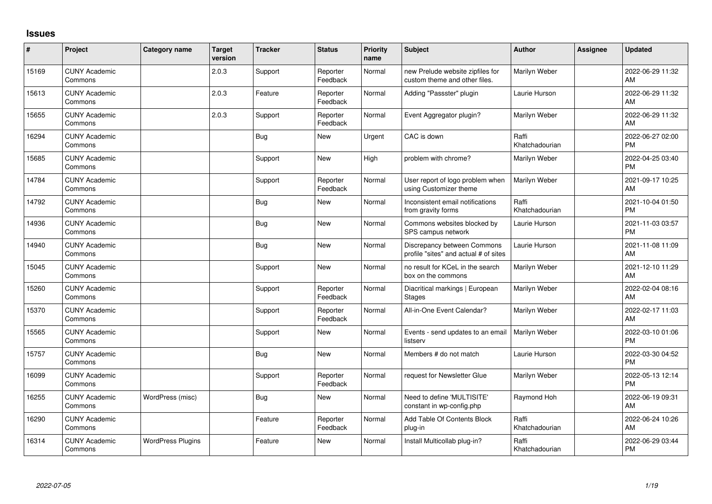## **Issues**

| ∦     | Project                         | <b>Category name</b>     | <b>Target</b><br>version | <b>Tracker</b> | <b>Status</b>        | <b>Priority</b><br>name | <b>Subject</b>                                                       | <b>Author</b>           | <b>Assignee</b> | <b>Updated</b>                |
|-------|---------------------------------|--------------------------|--------------------------|----------------|----------------------|-------------------------|----------------------------------------------------------------------|-------------------------|-----------------|-------------------------------|
| 15169 | <b>CUNY Academic</b><br>Commons |                          | 2.0.3                    | Support        | Reporter<br>Feedback | Normal                  | new Prelude website zipfiles for<br>custom theme and other files.    | Marilyn Weber           |                 | 2022-06-29 11:32<br>AM        |
| 15613 | <b>CUNY Academic</b><br>Commons |                          | 2.0.3                    | Feature        | Reporter<br>Feedback | Normal                  | Adding "Passster" plugin                                             | Laurie Hurson           |                 | 2022-06-29 11:32<br>AM        |
| 15655 | <b>CUNY Academic</b><br>Commons |                          | 2.0.3                    | Support        | Reporter<br>Feedback | Normal                  | Event Aggregator plugin?                                             | Marilyn Weber           |                 | 2022-06-29 11:32<br>AM        |
| 16294 | <b>CUNY Academic</b><br>Commons |                          |                          | Bug            | <b>New</b>           | Urgent                  | CAC is down                                                          | Raffi<br>Khatchadourian |                 | 2022-06-27 02:00<br><b>PM</b> |
| 15685 | <b>CUNY Academic</b><br>Commons |                          |                          | Support        | <b>New</b>           | High                    | problem with chrome?                                                 | Marilyn Weber           |                 | 2022-04-25 03:40<br><b>PM</b> |
| 14784 | <b>CUNY Academic</b><br>Commons |                          |                          | Support        | Reporter<br>Feedback | Normal                  | User report of logo problem when<br>using Customizer theme           | Marilyn Weber           |                 | 2021-09-17 10:25<br>AM        |
| 14792 | <b>CUNY Academic</b><br>Commons |                          |                          | Bug            | <b>New</b>           | Normal                  | Inconsistent email notifications<br>from gravity forms               | Raffi<br>Khatchadourian |                 | 2021-10-04 01:50<br><b>PM</b> |
| 14936 | <b>CUNY Academic</b><br>Commons |                          |                          | Bug            | <b>New</b>           | Normal                  | Commons websites blocked by<br>SPS campus network                    | Laurie Hurson           |                 | 2021-11-03 03:57<br><b>PM</b> |
| 14940 | <b>CUNY Academic</b><br>Commons |                          |                          | Bug            | <b>New</b>           | Normal                  | Discrepancy between Commons<br>profile "sites" and actual # of sites | Laurie Hurson           |                 | 2021-11-08 11:09<br>AM        |
| 15045 | <b>CUNY Academic</b><br>Commons |                          |                          | Support        | <b>New</b>           | Normal                  | no result for KCeL in the search<br>box on the commons               | Marilyn Weber           |                 | 2021-12-10 11:29<br>AM        |
| 15260 | <b>CUNY Academic</b><br>Commons |                          |                          | Support        | Reporter<br>Feedback | Normal                  | Diacritical markings   European<br><b>Stages</b>                     | Marilyn Weber           |                 | 2022-02-04 08:16<br>AM        |
| 15370 | <b>CUNY Academic</b><br>Commons |                          |                          | Support        | Reporter<br>Feedback | Normal                  | All-in-One Event Calendar?                                           | Marilyn Weber           |                 | 2022-02-17 11:03<br>AM        |
| 15565 | <b>CUNY Academic</b><br>Commons |                          |                          | Support        | <b>New</b>           | Normal                  | Events - send updates to an email<br>listserv                        | Marilyn Weber           |                 | 2022-03-10 01:06<br><b>PM</b> |
| 15757 | <b>CUNY Academic</b><br>Commons |                          |                          | <b>Bug</b>     | New                  | Normal                  | Members # do not match                                               | Laurie Hurson           |                 | 2022-03-30 04:52<br><b>PM</b> |
| 16099 | <b>CUNY Academic</b><br>Commons |                          |                          | Support        | Reporter<br>Feedback | Normal                  | request for Newsletter Glue                                          | Marilyn Weber           |                 | 2022-05-13 12:14<br><b>PM</b> |
| 16255 | <b>CUNY Academic</b><br>Commons | WordPress (misc)         |                          | Bug            | <b>New</b>           | Normal                  | Need to define 'MULTISITE'<br>constant in wp-config.php              | Raymond Hoh             |                 | 2022-06-19 09:31<br>AM        |
| 16290 | <b>CUNY Academic</b><br>Commons |                          |                          | Feature        | Reporter<br>Feedback | Normal                  | Add Table Of Contents Block<br>plug-in                               | Raffi<br>Khatchadourian |                 | 2022-06-24 10:26<br>AM        |
| 16314 | <b>CUNY Academic</b><br>Commons | <b>WordPress Plugins</b> |                          | Feature        | New                  | Normal                  | Install Multicollab plug-in?                                         | Raffi<br>Khatchadourian |                 | 2022-06-29 03:44<br><b>PM</b> |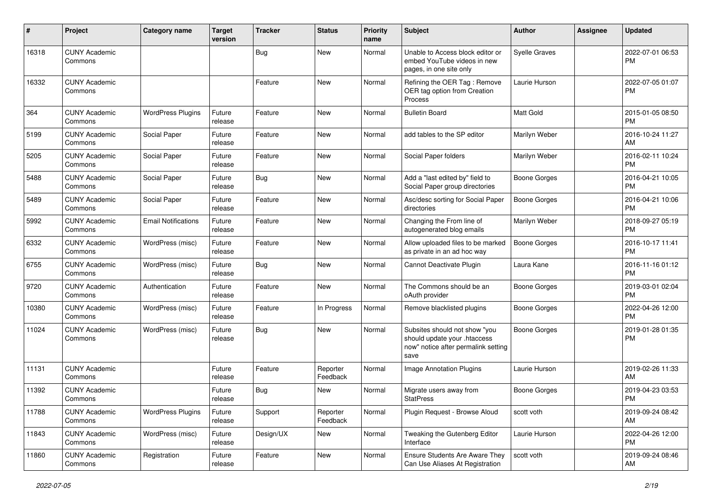| $\#$  | Project                         | <b>Category name</b>       | <b>Target</b><br>version | <b>Tracker</b> | <b>Status</b>        | Priority<br>name | <b>Subject</b>                                                                                               | Author               | <b>Assignee</b> | <b>Updated</b>                |
|-------|---------------------------------|----------------------------|--------------------------|----------------|----------------------|------------------|--------------------------------------------------------------------------------------------------------------|----------------------|-----------------|-------------------------------|
| 16318 | <b>CUNY Academic</b><br>Commons |                            |                          | <b>Bug</b>     | <b>New</b>           | Normal           | Unable to Access block editor or<br>embed YouTube videos in new<br>pages, in one site only                   | <b>Syelle Graves</b> |                 | 2022-07-01 06:53<br><b>PM</b> |
| 16332 | <b>CUNY Academic</b><br>Commons |                            |                          | Feature        | New                  | Normal           | Refining the OER Tag: Remove<br>OER tag option from Creation<br>Process                                      | Laurie Hurson        |                 | 2022-07-05 01:07<br><b>PM</b> |
| 364   | <b>CUNY Academic</b><br>Commons | <b>WordPress Plugins</b>   | Future<br>release        | Feature        | <b>New</b>           | Normal           | <b>Bulletin Board</b>                                                                                        | Matt Gold            |                 | 2015-01-05 08:50<br><b>PM</b> |
| 5199  | <b>CUNY Academic</b><br>Commons | Social Paper               | Future<br>release        | Feature        | <b>New</b>           | Normal           | add tables to the SP editor                                                                                  | Marilyn Weber        |                 | 2016-10-24 11:27<br>AM        |
| 5205  | <b>CUNY Academic</b><br>Commons | Social Paper               | Future<br>release        | Feature        | <b>New</b>           | Normal           | Social Paper folders                                                                                         | Marilyn Weber        |                 | 2016-02-11 10:24<br><b>PM</b> |
| 5488  | <b>CUNY Academic</b><br>Commons | Social Paper               | Future<br>release        | Bug            | <b>New</b>           | Normal           | Add a "last edited by" field to<br>Social Paper group directories                                            | <b>Boone Gorges</b>  |                 | 2016-04-21 10:05<br><b>PM</b> |
| 5489  | <b>CUNY Academic</b><br>Commons | Social Paper               | Future<br>release        | Feature        | <b>New</b>           | Normal           | Asc/desc sorting for Social Paper<br>directories                                                             | <b>Boone Gorges</b>  |                 | 2016-04-21 10:06<br><b>PM</b> |
| 5992  | <b>CUNY Academic</b><br>Commons | <b>Email Notifications</b> | Future<br>release        | Feature        | <b>New</b>           | Normal           | Changing the From line of<br>autogenerated blog emails                                                       | Marilyn Weber        |                 | 2018-09-27 05:19<br><b>PM</b> |
| 6332  | <b>CUNY Academic</b><br>Commons | WordPress (misc)           | Future<br>release        | Feature        | <b>New</b>           | Normal           | Allow uploaded files to be marked<br>as private in an ad hoc way                                             | <b>Boone Gorges</b>  |                 | 2016-10-17 11:41<br><b>PM</b> |
| 6755  | <b>CUNY Academic</b><br>Commons | WordPress (misc)           | Future<br>release        | Bug            | <b>New</b>           | Normal           | Cannot Deactivate Plugin                                                                                     | Laura Kane           |                 | 2016-11-16 01:12<br><b>PM</b> |
| 9720  | <b>CUNY Academic</b><br>Commons | Authentication             | Future<br>release        | Feature        | <b>New</b>           | Normal           | The Commons should be an<br>oAuth provider                                                                   | <b>Boone Gorges</b>  |                 | 2019-03-01 02:04<br><b>PM</b> |
| 10380 | <b>CUNY Academic</b><br>Commons | WordPress (misc)           | Future<br>release        | Feature        | In Progress          | Normal           | Remove blacklisted plugins                                                                                   | <b>Boone Gorges</b>  |                 | 2022-04-26 12:00<br><b>PM</b> |
| 11024 | <b>CUNY Academic</b><br>Commons | WordPress (misc)           | Future<br>release        | Bug            | <b>New</b>           | Normal           | Subsites should not show "you<br>should update your .htaccess<br>now" notice after permalink setting<br>save | Boone Gorges         |                 | 2019-01-28 01:35<br><b>PM</b> |
| 11131 | <b>CUNY Academic</b><br>Commons |                            | Future<br>release        | Feature        | Reporter<br>Feedback | Normal           | Image Annotation Plugins                                                                                     | Laurie Hurson        |                 | 2019-02-26 11:33<br>AM        |
| 11392 | <b>CUNY Academic</b><br>Commons |                            | Future<br>release        | <b>Bug</b>     | New                  | Normal           | Migrate users away from<br><b>StatPress</b>                                                                  | <b>Boone Gorges</b>  |                 | 2019-04-23 03:53<br>PM        |
| 11788 | <b>CUNY Academic</b><br>Commons | <b>WordPress Plugins</b>   | Future<br>release        | Support        | Reporter<br>Feedback | Normal           | Plugin Request - Browse Aloud                                                                                | scott voth           |                 | 2019-09-24 08:42<br>AM        |
| 11843 | <b>CUNY Academic</b><br>Commons | WordPress (misc)           | Future<br>release        | Design/UX      | New                  | Normal           | Tweaking the Gutenberg Editor<br>Interface                                                                   | Laurie Hurson        |                 | 2022-04-26 12:00<br><b>PM</b> |
| 11860 | <b>CUNY Academic</b><br>Commons | Registration               | Future<br>release        | Feature        | New                  | Normal           | Ensure Students Are Aware They<br>Can Use Aliases At Registration                                            | scott voth           |                 | 2019-09-24 08:46<br>AM        |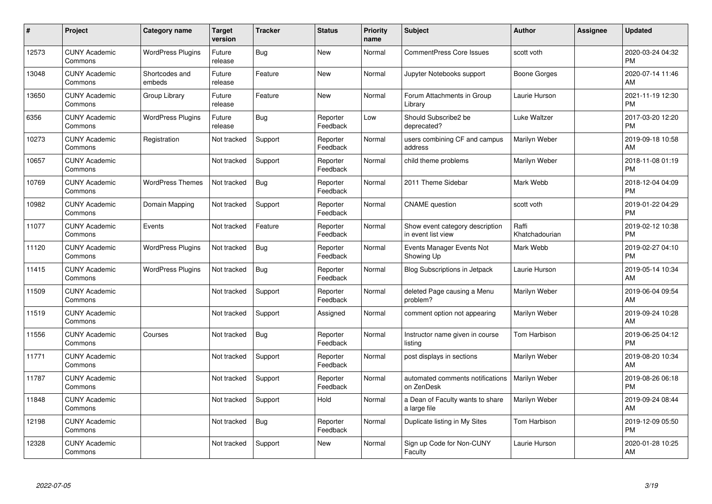| #     | Project                         | <b>Category name</b>     | <b>Target</b><br>version | <b>Tracker</b> | <b>Status</b>        | <b>Priority</b><br>name | <b>Subject</b>                                        | <b>Author</b>           | <b>Assignee</b> | <b>Updated</b>                |
|-------|---------------------------------|--------------------------|--------------------------|----------------|----------------------|-------------------------|-------------------------------------------------------|-------------------------|-----------------|-------------------------------|
| 12573 | <b>CUNY Academic</b><br>Commons | <b>WordPress Plugins</b> | Future<br>release        | <b>Bug</b>     | <b>New</b>           | Normal                  | <b>CommentPress Core Issues</b>                       | scott voth              |                 | 2020-03-24 04:32<br><b>PM</b> |
| 13048 | <b>CUNY Academic</b><br>Commons | Shortcodes and<br>embeds | Future<br>release        | Feature        | <b>New</b>           | Normal                  | Jupyter Notebooks support                             | Boone Gorges            |                 | 2020-07-14 11:46<br>AM        |
| 13650 | <b>CUNY Academic</b><br>Commons | Group Library            | Future<br>release        | Feature        | <b>New</b>           | Normal                  | Forum Attachments in Group<br>Library                 | Laurie Hurson           |                 | 2021-11-19 12:30<br><b>PM</b> |
| 6356  | <b>CUNY Academic</b><br>Commons | <b>WordPress Plugins</b> | Future<br>release        | <b>Bug</b>     | Reporter<br>Feedback | Low                     | Should Subscribe2 be<br>deprecated?                   | Luke Waltzer            |                 | 2017-03-20 12:20<br><b>PM</b> |
| 10273 | <b>CUNY Academic</b><br>Commons | Registration             | Not tracked              | Support        | Reporter<br>Feedback | Normal                  | users combining CF and campus<br>address              | Marilyn Weber           |                 | 2019-09-18 10:58<br>AM        |
| 10657 | <b>CUNY Academic</b><br>Commons |                          | Not tracked              | Support        | Reporter<br>Feedback | Normal                  | child theme problems                                  | Marilyn Weber           |                 | 2018-11-08 01:19<br><b>PM</b> |
| 10769 | <b>CUNY Academic</b><br>Commons | <b>WordPress Themes</b>  | Not tracked              | Bug            | Reporter<br>Feedback | Normal                  | 2011 Theme Sidebar                                    | Mark Webb               |                 | 2018-12-04 04:09<br><b>PM</b> |
| 10982 | <b>CUNY Academic</b><br>Commons | Domain Mapping           | Not tracked              | Support        | Reporter<br>Feedback | Normal                  | <b>CNAME</b> question                                 | scott voth              |                 | 2019-01-22 04:29<br><b>PM</b> |
| 11077 | <b>CUNY Academic</b><br>Commons | Events                   | Not tracked              | Feature        | Reporter<br>Feedback | Normal                  | Show event category description<br>in event list view | Raffi<br>Khatchadourian |                 | 2019-02-12 10:38<br><b>PM</b> |
| 11120 | <b>CUNY Academic</b><br>Commons | <b>WordPress Plugins</b> | Not tracked              | Bug            | Reporter<br>Feedback | Normal                  | Events Manager Events Not<br>Showing Up               | Mark Webb               |                 | 2019-02-27 04:10<br>PM        |
| 11415 | <b>CUNY Academic</b><br>Commons | <b>WordPress Plugins</b> | Not tracked              | <b>Bug</b>     | Reporter<br>Feedback | Normal                  | <b>Blog Subscriptions in Jetpack</b>                  | Laurie Hurson           |                 | 2019-05-14 10:34<br>AM        |
| 11509 | <b>CUNY Academic</b><br>Commons |                          | Not tracked              | Support        | Reporter<br>Feedback | Normal                  | deleted Page causing a Menu<br>problem?               | Marilyn Weber           |                 | 2019-06-04 09:54<br>AM        |
| 11519 | <b>CUNY Academic</b><br>Commons |                          | Not tracked              | Support        | Assigned             | Normal                  | comment option not appearing                          | Marilyn Weber           |                 | 2019-09-24 10:28<br><b>AM</b> |
| 11556 | <b>CUNY Academic</b><br>Commons | Courses                  | Not tracked              | Bug            | Reporter<br>Feedback | Normal                  | Instructor name given in course<br>listing            | Tom Harbison            |                 | 2019-06-25 04:12<br><b>PM</b> |
| 11771 | <b>CUNY Academic</b><br>Commons |                          | Not tracked              | Support        | Reporter<br>Feedback | Normal                  | post displays in sections                             | Marilyn Weber           |                 | 2019-08-20 10:34<br>AM        |
| 11787 | <b>CUNY Academic</b><br>Commons |                          | Not tracked              | Support        | Reporter<br>Feedback | Normal                  | automated comments notifications<br>on ZenDesk        | Marilyn Weber           |                 | 2019-08-26 06:18<br><b>PM</b> |
| 11848 | <b>CUNY Academic</b><br>Commons |                          | Not tracked              | Support        | Hold                 | Normal                  | a Dean of Faculty wants to share<br>a large file      | Marilyn Weber           |                 | 2019-09-24 08:44<br>AM        |
| 12198 | <b>CUNY Academic</b><br>Commons |                          | Not tracked              | Bug            | Reporter<br>Feedback | Normal                  | Duplicate listing in My Sites                         | Tom Harbison            |                 | 2019-12-09 05:50<br><b>PM</b> |
| 12328 | <b>CUNY Academic</b><br>Commons |                          | Not tracked              | Support        | <b>New</b>           | Normal                  | Sign up Code for Non-CUNY<br>Faculty                  | Laurie Hurson           |                 | 2020-01-28 10:25<br>AM        |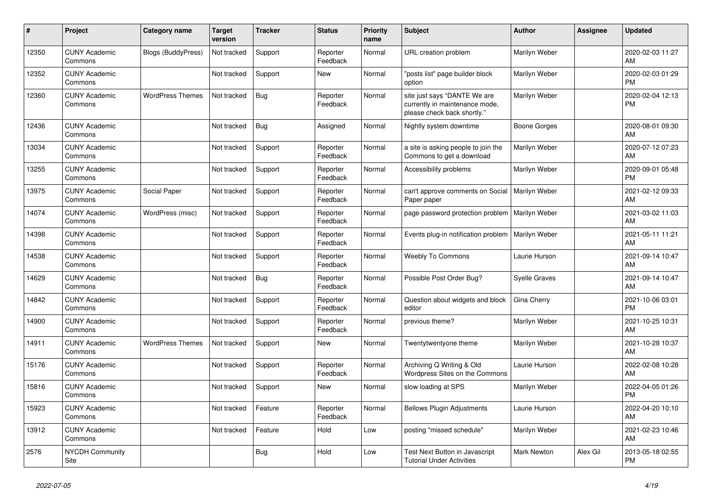| #     | Project                         | Category name             | <b>Target</b><br>version | <b>Tracker</b> | <b>Status</b>        | <b>Priority</b><br>name | <b>Subject</b>                                                                                | <b>Author</b>      | Assignee | <b>Updated</b>                |
|-------|---------------------------------|---------------------------|--------------------------|----------------|----------------------|-------------------------|-----------------------------------------------------------------------------------------------|--------------------|----------|-------------------------------|
| 12350 | <b>CUNY Academic</b><br>Commons | <b>Blogs (BuddyPress)</b> | Not tracked              | Support        | Reporter<br>Feedback | Normal                  | URL creation problem                                                                          | Marilyn Weber      |          | 2020-02-03 11:27<br>AM        |
| 12352 | <b>CUNY Academic</b><br>Commons |                           | Not tracked              | Support        | New                  | Normal                  | "posts list" page builder block<br>option                                                     | Marilyn Weber      |          | 2020-02-03 01:29<br><b>PM</b> |
| 12360 | <b>CUNY Academic</b><br>Commons | <b>WordPress Themes</b>   | Not tracked              | Bug            | Reporter<br>Feedback | Normal                  | site just says "DANTE We are<br>currently in maintenance mode,<br>please check back shortly." | Marilyn Weber      |          | 2020-02-04 12:13<br><b>PM</b> |
| 12436 | <b>CUNY Academic</b><br>Commons |                           | Not tracked              | Bug            | Assigned             | Normal                  | Nightly system downtime                                                                       | Boone Gorges       |          | 2020-08-01 09:30<br><b>AM</b> |
| 13034 | <b>CUNY Academic</b><br>Commons |                           | Not tracked              | Support        | Reporter<br>Feedback | Normal                  | a site is asking people to join the<br>Commons to get a download                              | Marilyn Weber      |          | 2020-07-12 07:23<br>AM        |
| 13255 | <b>CUNY Academic</b><br>Commons |                           | Not tracked              | Support        | Reporter<br>Feedback | Normal                  | Accessibility problems                                                                        | Marilyn Weber      |          | 2020-09-01 05:48<br><b>PM</b> |
| 13975 | <b>CUNY Academic</b><br>Commons | Social Paper              | Not tracked              | Support        | Reporter<br>Feedback | Normal                  | can't approve comments on Social<br>Paper paper                                               | Marilyn Weber      |          | 2021-02-12 09:33<br>AM        |
| 14074 | <b>CUNY Academic</b><br>Commons | WordPress (misc)          | Not tracked              | Support        | Reporter<br>Feedback | Normal                  | page password protection problem                                                              | Marilyn Weber      |          | 2021-03-02 11:03<br>AM        |
| 14398 | <b>CUNY Academic</b><br>Commons |                           | Not tracked              | Support        | Reporter<br>Feedback | Normal                  | Events plug-in notification problem   Marilyn Weber                                           |                    |          | 2021-05-11 11:21<br><b>AM</b> |
| 14538 | <b>CUNY Academic</b><br>Commons |                           | Not tracked              | Support        | Reporter<br>Feedback | Normal                  | <b>Weebly To Commons</b>                                                                      | Laurie Hurson      |          | 2021-09-14 10:47<br>AM        |
| 14629 | <b>CUNY Academic</b><br>Commons |                           | Not tracked              | Bug            | Reporter<br>Feedback | Normal                  | Possible Post Order Bug?                                                                      | Syelle Graves      |          | 2021-09-14 10:47<br>AM        |
| 14842 | <b>CUNY Academic</b><br>Commons |                           | Not tracked              | Support        | Reporter<br>Feedback | Normal                  | Question about widgets and block<br>editor                                                    | Gina Cherry        |          | 2021-10-06 03:01<br><b>PM</b> |
| 14900 | <b>CUNY Academic</b><br>Commons |                           | Not tracked              | Support        | Reporter<br>Feedback | Normal                  | previous theme?                                                                               | Marilyn Weber      |          | 2021-10-25 10:31<br>AM        |
| 14911 | <b>CUNY Academic</b><br>Commons | <b>WordPress Themes</b>   | Not tracked              | Support        | New                  | Normal                  | Twentytwentyone theme                                                                         | Marilyn Weber      |          | 2021-10-28 10:37<br>AM        |
| 15176 | <b>CUNY Academic</b><br>Commons |                           | Not tracked              | Support        | Reporter<br>Feedback | Normal                  | Archiving Q Writing & Old<br>Wordpress Sites on the Commons                                   | Laurie Hurson      |          | 2022-02-08 10:28<br><b>AM</b> |
| 15816 | <b>CUNY Academic</b><br>Commons |                           | Not tracked              | Support        | <b>New</b>           | Normal                  | slow loading at SPS                                                                           | Marilyn Weber      |          | 2022-04-05 01:26<br><b>PM</b> |
| 15923 | <b>CUNY Academic</b><br>Commons |                           | Not tracked              | Feature        | Reporter<br>Feedback | Normal                  | <b>Bellows Plugin Adjustments</b>                                                             | Laurie Hurson      |          | 2022-04-20 10:10<br>AM        |
| 13912 | <b>CUNY Academic</b><br>Commons |                           | Not tracked              | Feature        | Hold                 | Low                     | posting "missed schedule"                                                                     | Marilyn Weber      |          | 2021-02-23 10:46<br>AM        |
| 2576  | <b>NYCDH Community</b><br>Site  |                           |                          | <b>Bug</b>     | Hold                 | Low                     | Test Next Button in Javascript<br><b>Tutorial Under Activities</b>                            | <b>Mark Newton</b> | Alex Gil | 2013-05-18 02:55<br><b>PM</b> |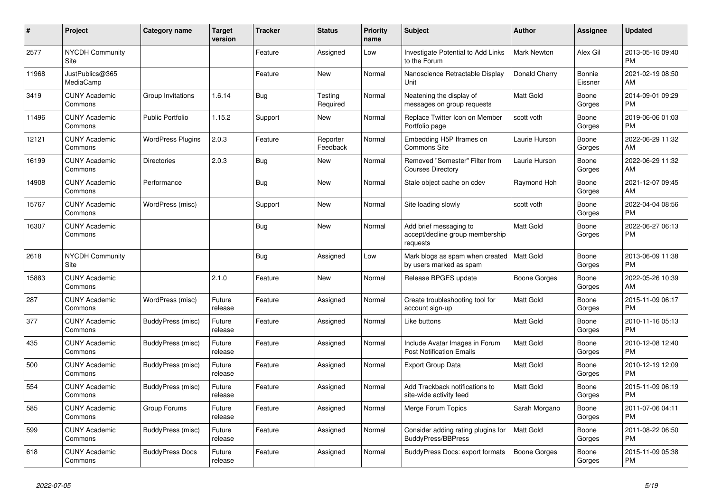| #     | Project                         | <b>Category name</b>     | Target<br>version | <b>Tracker</b> | <b>Status</b>        | <b>Priority</b><br>name | <b>Subject</b>                                                        | <b>Author</b>       | Assignee          | <b>Updated</b>                |
|-------|---------------------------------|--------------------------|-------------------|----------------|----------------------|-------------------------|-----------------------------------------------------------------------|---------------------|-------------------|-------------------------------|
| 2577  | <b>NYCDH Community</b><br>Site  |                          |                   | Feature        | Assigned             | Low                     | Investigate Potential to Add Links<br>to the Forum                    | Mark Newton         | Alex Gil          | 2013-05-16 09:40<br><b>PM</b> |
| 11968 | JustPublics@365<br>MediaCamp    |                          |                   | Feature        | New                  | Normal                  | Nanoscience Retractable Display<br>Unit                               | Donald Cherry       | Bonnie<br>Eissner | 2021-02-19 08:50<br><b>AM</b> |
| 3419  | <b>CUNY Academic</b><br>Commons | Group Invitations        | 1.6.14            | <b>Bug</b>     | Testing<br>Required  | Normal                  | Neatening the display of<br>messages on group requests                | Matt Gold           | Boone<br>Gorges   | 2014-09-01 09:29<br><b>PM</b> |
| 11496 | <b>CUNY Academic</b><br>Commons | <b>Public Portfolio</b>  | 1.15.2            | Support        | New                  | Normal                  | Replace Twitter Icon on Member<br>Portfolio page                      | scott voth          | Boone<br>Gorges   | 2019-06-06 01:03<br><b>PM</b> |
| 12121 | <b>CUNY Academic</b><br>Commons | <b>WordPress Plugins</b> | 2.0.3             | Feature        | Reporter<br>Feedback | Normal                  | Embedding H5P Iframes on<br>Commons Site                              | Laurie Hurson       | Boone<br>Gorges   | 2022-06-29 11:32<br>AM        |
| 16199 | <b>CUNY Academic</b><br>Commons | <b>Directories</b>       | 2.0.3             | Bug            | <b>New</b>           | Normal                  | Removed "Semester" Filter from<br><b>Courses Directory</b>            | Laurie Hurson       | Boone<br>Gorges   | 2022-06-29 11:32<br>AM        |
| 14908 | <b>CUNY Academic</b><br>Commons | Performance              |                   | Bug            | <b>New</b>           | Normal                  | Stale object cache on cdev                                            | Raymond Hoh         | Boone<br>Gorges   | 2021-12-07 09:45<br>AM        |
| 15767 | <b>CUNY Academic</b><br>Commons | WordPress (misc)         |                   | Support        | <b>New</b>           | Normal                  | Site loading slowly                                                   | scott voth          | Boone<br>Gorges   | 2022-04-04 08:56<br>PM.       |
| 16307 | <b>CUNY Academic</b><br>Commons |                          |                   | <b>Bug</b>     | <b>New</b>           | Normal                  | Add brief messaging to<br>accept/decline group membership<br>requests | Matt Gold           | Boone<br>Gorges   | 2022-06-27 06:13<br>PM        |
| 2618  | <b>NYCDH Community</b><br>Site  |                          |                   | Bug            | Assigned             | Low                     | Mark blogs as spam when created<br>by users marked as spam            | <b>Matt Gold</b>    | Boone<br>Gorges   | 2013-06-09 11:38<br><b>PM</b> |
| 15883 | <b>CUNY Academic</b><br>Commons |                          | 2.1.0             | Feature        | New                  | Normal                  | Release BPGES update                                                  | Boone Gorges        | Boone<br>Gorges   | 2022-05-26 10:39<br>AM        |
| 287   | <b>CUNY Academic</b><br>Commons | WordPress (misc)         | Future<br>release | Feature        | Assigned             | Normal                  | Create troubleshooting tool for<br>account sign-up                    | <b>Matt Gold</b>    | Boone<br>Gorges   | 2015-11-09 06:17<br><b>PM</b> |
| 377   | <b>CUNY Academic</b><br>Commons | BuddyPress (misc)        | Future<br>release | Feature        | Assigned             | Normal                  | Like buttons                                                          | Matt Gold           | Boone<br>Gorges   | 2010-11-16 05:13<br>PM        |
| 435   | <b>CUNY Academic</b><br>Commons | BuddyPress (misc)        | Future<br>release | Feature        | Assigned             | Normal                  | Include Avatar Images in Forum<br><b>Post Notification Emails</b>     | Matt Gold           | Boone<br>Gorges   | 2010-12-08 12:40<br><b>PM</b> |
| 500   | <b>CUNY Academic</b><br>Commons | BuddyPress (misc)        | Future<br>release | Feature        | Assigned             | Normal                  | <b>Export Group Data</b>                                              | Matt Gold           | Boone<br>Gorges   | 2010-12-19 12:09<br><b>PM</b> |
| 554   | <b>CUNY Academic</b><br>Commons | BuddyPress (misc)        | Future<br>release | Feature        | Assigned             | Normal                  | Add Trackback notifications to<br>site-wide activity feed             | Matt Gold           | Boone<br>Gorges   | 2015-11-09 06:19<br><b>PM</b> |
| 585   | <b>CUNY Academic</b><br>Commons | Group Forums             | Future<br>release | Feature        | Assigned             | Normal                  | Merge Forum Topics                                                    | Sarah Morgano       | Boone<br>Gorges   | 2011-07-06 04:11<br><b>PM</b> |
| 599   | <b>CUNY Academic</b><br>Commons | BuddyPress (misc)        | Future<br>release | Feature        | Assigned             | Normal                  | Consider adding rating plugins for<br><b>BuddyPress/BBPress</b>       | Matt Gold           | Boone<br>Gorges   | 2011-08-22 06:50<br><b>PM</b> |
| 618   | <b>CUNY Academic</b><br>Commons | <b>BuddyPress Docs</b>   | Future<br>release | Feature        | Assigned             | Normal                  | BuddyPress Docs: export formats                                       | <b>Boone Gorges</b> | Boone<br>Gorges   | 2015-11-09 05:38<br><b>PM</b> |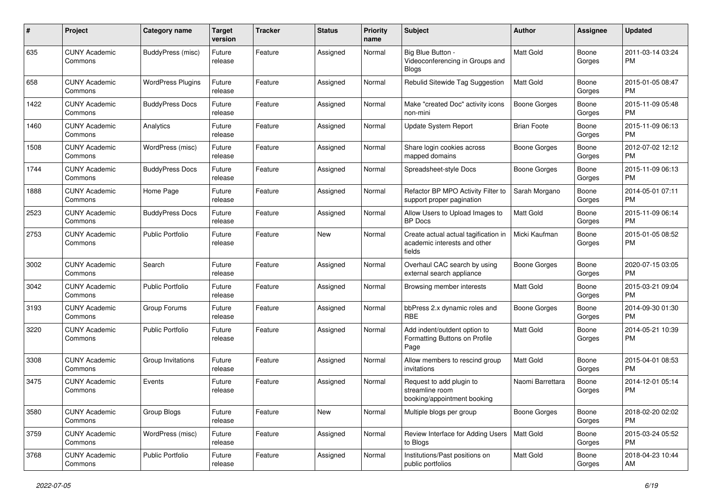| #    | Project                         | <b>Category name</b>     | <b>Target</b><br>version | <b>Tracker</b> | <b>Status</b> | <b>Priority</b><br>name | <b>Subject</b>                                                                 | Author              | <b>Assignee</b> | <b>Updated</b>                |
|------|---------------------------------|--------------------------|--------------------------|----------------|---------------|-------------------------|--------------------------------------------------------------------------------|---------------------|-----------------|-------------------------------|
| 635  | <b>CUNY Academic</b><br>Commons | BuddyPress (misc)        | Future<br>release        | Feature        | Assigned      | Normal                  | Big Blue Button -<br>Videoconferencing in Groups and<br><b>Blogs</b>           | Matt Gold           | Boone<br>Gorges | 2011-03-14 03:24<br>PM.       |
| 658  | <b>CUNY Academic</b><br>Commons | <b>WordPress Plugins</b> | Future<br>release        | Feature        | Assigned      | Normal                  | Rebulid Sitewide Tag Suggestion                                                | Matt Gold           | Boone<br>Gorges | 2015-01-05 08:47<br>PM        |
| 1422 | <b>CUNY Academic</b><br>Commons | <b>BuddyPress Docs</b>   | Future<br>release        | Feature        | Assigned      | Normal                  | Make "created Doc" activity icons<br>non-mini                                  | <b>Boone Gorges</b> | Boone<br>Gorges | 2015-11-09 05:48<br><b>PM</b> |
| 1460 | <b>CUNY Academic</b><br>Commons | Analytics                | Future<br>release        | Feature        | Assigned      | Normal                  | Update System Report                                                           | <b>Brian Foote</b>  | Boone<br>Gorges | 2015-11-09 06:13<br><b>PM</b> |
| 1508 | <b>CUNY Academic</b><br>Commons | WordPress (misc)         | Future<br>release        | Feature        | Assigned      | Normal                  | Share login cookies across<br>mapped domains                                   | Boone Gorges        | Boone<br>Gorges | 2012-07-02 12:12<br><b>PM</b> |
| 1744 | <b>CUNY Academic</b><br>Commons | <b>BuddyPress Docs</b>   | Future<br>release        | Feature        | Assigned      | Normal                  | Spreadsheet-style Docs                                                         | Boone Gorges        | Boone<br>Gorges | 2015-11-09 06:13<br><b>PM</b> |
| 1888 | <b>CUNY Academic</b><br>Commons | Home Page                | Future<br>release        | Feature        | Assigned      | Normal                  | Refactor BP MPO Activity Filter to<br>support proper pagination                | Sarah Morgano       | Boone<br>Gorges | 2014-05-01 07:11<br><b>PM</b> |
| 2523 | <b>CUNY Academic</b><br>Commons | <b>BuddyPress Docs</b>   | Future<br>release        | Feature        | Assigned      | Normal                  | Allow Users to Upload Images to<br><b>BP</b> Docs                              | Matt Gold           | Boone<br>Gorges | 2015-11-09 06:14<br><b>PM</b> |
| 2753 | <b>CUNY Academic</b><br>Commons | <b>Public Portfolio</b>  | Future<br>release        | Feature        | New           | Normal                  | Create actual actual tagification in<br>academic interests and other<br>fields | Micki Kaufman       | Boone<br>Gorges | 2015-01-05 08:52<br><b>PM</b> |
| 3002 | <b>CUNY Academic</b><br>Commons | Search                   | Future<br>release        | Feature        | Assigned      | Normal                  | Overhaul CAC search by using<br>external search appliance                      | Boone Gorges        | Boone<br>Gorges | 2020-07-15 03:05<br>PM.       |
| 3042 | <b>CUNY Academic</b><br>Commons | <b>Public Portfolio</b>  | Future<br>release        | Feature        | Assigned      | Normal                  | Browsing member interests                                                      | <b>Matt Gold</b>    | Boone<br>Gorges | 2015-03-21 09:04<br><b>PM</b> |
| 3193 | <b>CUNY Academic</b><br>Commons | Group Forums             | Future<br>release        | Feature        | Assigned      | Normal                  | bbPress 2.x dynamic roles and<br><b>RBE</b>                                    | Boone Gorges        | Boone<br>Gorges | 2014-09-30 01:30<br><b>PM</b> |
| 3220 | <b>CUNY Academic</b><br>Commons | <b>Public Portfolio</b>  | Future<br>release        | Feature        | Assigned      | Normal                  | Add indent/outdent option to<br>Formatting Buttons on Profile<br>Page          | <b>Matt Gold</b>    | Boone<br>Gorges | 2014-05-21 10:39<br><b>PM</b> |
| 3308 | <b>CUNY Academic</b><br>Commons | Group Invitations        | Future<br>release        | Feature        | Assigned      | Normal                  | Allow members to rescind group<br>invitations                                  | <b>Matt Gold</b>    | Boone<br>Gorges | 2015-04-01 08:53<br><b>PM</b> |
| 3475 | <b>CUNY Academic</b><br>Commons | Events                   | Future<br>release        | Feature        | Assigned      | Normal                  | Request to add plugin to<br>streamline room<br>booking/appointment booking     | Naomi Barrettara    | Boone<br>Gorges | 2014-12-01 05:14<br><b>PM</b> |
| 3580 | <b>CUNY Academic</b><br>Commons | Group Blogs              | Future<br>release        | Feature        | New           | Normal                  | Multiple blogs per group                                                       | <b>Boone Gorges</b> | Boone<br>Gorges | 2018-02-20 02:02<br><b>PM</b> |
| 3759 | <b>CUNY Academic</b><br>Commons | WordPress (misc)         | Future<br>release        | Feature        | Assigned      | Normal                  | Review Interface for Adding Users<br>to Blogs                                  | Matt Gold           | Boone<br>Gorges | 2015-03-24 05:52<br>PM        |
| 3768 | <b>CUNY Academic</b><br>Commons | Public Portfolio         | Future<br>release        | Feature        | Assigned      | Normal                  | Institutions/Past positions on<br>public portfolios                            | Matt Gold           | Boone<br>Gorges | 2018-04-23 10:44<br>AM        |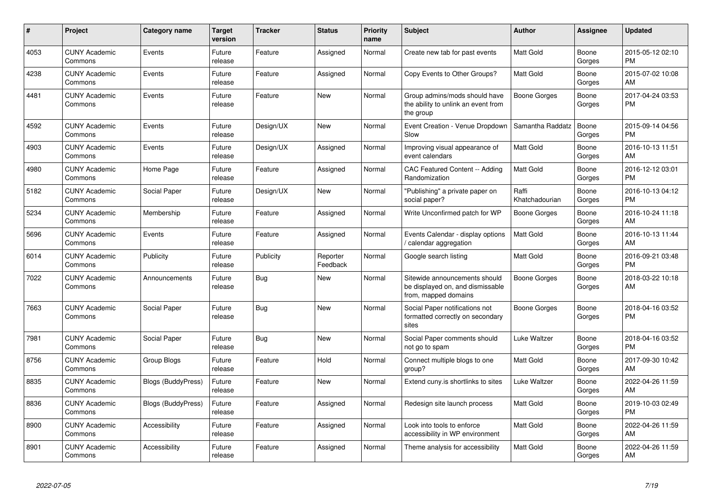| #    | Project                         | <b>Category name</b>      | Target<br>version | <b>Tracker</b> | <b>Status</b>        | <b>Priority</b><br>name | <b>Subject</b>                                                                            | <b>Author</b>           | Assignee        | <b>Updated</b>                |
|------|---------------------------------|---------------------------|-------------------|----------------|----------------------|-------------------------|-------------------------------------------------------------------------------------------|-------------------------|-----------------|-------------------------------|
| 4053 | <b>CUNY Academic</b><br>Commons | Events                    | Future<br>release | Feature        | Assigned             | Normal                  | Create new tab for past events                                                            | <b>Matt Gold</b>        | Boone<br>Gorges | 2015-05-12 02:10<br><b>PM</b> |
| 4238 | <b>CUNY Academic</b><br>Commons | Events                    | Future<br>release | Feature        | Assigned             | Normal                  | Copy Events to Other Groups?                                                              | Matt Gold               | Boone<br>Gorges | 2015-07-02 10:08<br>AM        |
| 4481 | <b>CUNY Academic</b><br>Commons | Events                    | Future<br>release | Feature        | New                  | Normal                  | Group admins/mods should have<br>the ability to unlink an event from<br>the group         | Boone Gorges            | Boone<br>Gorges | 2017-04-24 03:53<br>PM        |
| 4592 | <b>CUNY Academic</b><br>Commons | Events                    | Future<br>release | Design/UX      | New                  | Normal                  | Event Creation - Venue Dropdown<br>Slow                                                   | Samantha Raddatz        | Boone<br>Gorges | 2015-09-14 04:56<br>PM.       |
| 4903 | <b>CUNY Academic</b><br>Commons | Events                    | Future<br>release | Design/UX      | Assigned             | Normal                  | Improving visual appearance of<br>event calendars                                         | Matt Gold               | Boone<br>Gorges | 2016-10-13 11:51<br><b>AM</b> |
| 4980 | <b>CUNY Academic</b><br>Commons | Home Page                 | Future<br>release | Feature        | Assigned             | Normal                  | CAC Featured Content -- Adding<br>Randomization                                           | <b>Matt Gold</b>        | Boone<br>Gorges | 2016-12-12 03:01<br><b>PM</b> |
| 5182 | <b>CUNY Academic</b><br>Commons | Social Paper              | Future<br>release | Design/UX      | New                  | Normal                  | "Publishing" a private paper on<br>social paper?                                          | Raffi<br>Khatchadourian | Boone<br>Gorges | 2016-10-13 04:12<br>PM        |
| 5234 | <b>CUNY Academic</b><br>Commons | Membership                | Future<br>release | Feature        | Assigned             | Normal                  | Write Unconfirmed patch for WP                                                            | Boone Gorges            | Boone<br>Gorges | 2016-10-24 11:18<br>AM        |
| 5696 | <b>CUNY Academic</b><br>Commons | Events                    | Future<br>release | Feature        | Assigned             | Normal                  | Events Calendar - display options<br>calendar aggregation                                 | Matt Gold               | Boone<br>Gorges | 2016-10-13 11:44<br>AM        |
| 6014 | <b>CUNY Academic</b><br>Commons | Publicity                 | Future<br>release | Publicity      | Reporter<br>Feedback | Normal                  | Google search listing                                                                     | Matt Gold               | Boone<br>Gorges | 2016-09-21 03:48<br><b>PM</b> |
| 7022 | <b>CUNY Academic</b><br>Commons | Announcements             | Future<br>release | Bug            | <b>New</b>           | Normal                  | Sitewide announcements should<br>be displayed on, and dismissable<br>from, mapped domains | Boone Gorges            | Boone<br>Gorges | 2018-03-22 10:18<br>AM.       |
| 7663 | <b>CUNY Academic</b><br>Commons | Social Paper              | Future<br>release | <b>Bug</b>     | New                  | Normal                  | Social Paper notifications not<br>formatted correctly on secondary<br>sites               | Boone Gorges            | Boone<br>Gorges | 2018-04-16 03:52<br>PM        |
| 7981 | <b>CUNY Academic</b><br>Commons | Social Paper              | Future<br>release | <b>Bug</b>     | <b>New</b>           | Normal                  | Social Paper comments should<br>not go to spam                                            | Luke Waltzer            | Boone<br>Gorges | 2018-04-16 03:52<br>PM.       |
| 8756 | <b>CUNY Academic</b><br>Commons | Group Blogs               | Future<br>release | Feature        | Hold                 | Normal                  | Connect multiple blogs to one<br>group?                                                   | <b>Matt Gold</b>        | Boone<br>Gorges | 2017-09-30 10:42<br>AM        |
| 8835 | <b>CUNY Academic</b><br>Commons | <b>Blogs (BuddyPress)</b> | Future<br>release | Feature        | <b>New</b>           | Normal                  | Extend cuny is shortlinks to sites                                                        | Luke Waltzer            | Boone<br>Gorges | 2022-04-26 11:59<br><b>AM</b> |
| 8836 | <b>CUNY Academic</b><br>Commons | <b>Blogs (BuddyPress)</b> | Future<br>release | Feature        | Assigned             | Normal                  | Redesign site launch process                                                              | <b>Matt Gold</b>        | Boone<br>Gorges | 2019-10-03 02:49<br><b>PM</b> |
| 8900 | <b>CUNY Academic</b><br>Commons | Accessibility             | Future<br>release | Feature        | Assigned             | Normal                  | Look into tools to enforce<br>accessibility in WP environment                             | <b>Matt Gold</b>        | Boone<br>Gorges | 2022-04-26 11:59<br>AM        |
| 8901 | <b>CUNY Academic</b><br>Commons | Accessibility             | Future<br>release | Feature        | Assigned             | Normal                  | Theme analysis for accessibility                                                          | Matt Gold               | Boone<br>Gorges | 2022-04-26 11:59<br>AM        |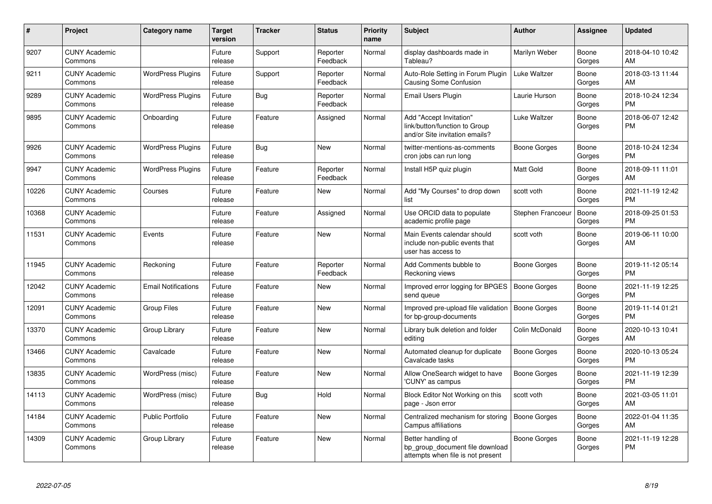| #     | <b>Project</b>                  | <b>Category name</b>       | <b>Target</b><br>version | <b>Tracker</b> | <b>Status</b>        | Priority<br>name | <b>Subject</b>                                                                             | <b>Author</b>       | Assignee        | <b>Updated</b>                |
|-------|---------------------------------|----------------------------|--------------------------|----------------|----------------------|------------------|--------------------------------------------------------------------------------------------|---------------------|-----------------|-------------------------------|
| 9207  | <b>CUNY Academic</b><br>Commons |                            | Future<br>release        | Support        | Reporter<br>Feedback | Normal           | display dashboards made in<br>Tableau?                                                     | Marilyn Weber       | Boone<br>Gorges | 2018-04-10 10:42<br><b>AM</b> |
| 9211  | <b>CUNY Academic</b><br>Commons | <b>WordPress Plugins</b>   | Future<br>release        | Support        | Reporter<br>Feedback | Normal           | Auto-Role Setting in Forum Plugin<br>Causing Some Confusion                                | Luke Waltzer        | Boone<br>Gorges | 2018-03-13 11:44<br>AM        |
| 9289  | <b>CUNY Academic</b><br>Commons | <b>WordPress Plugins</b>   | Future<br>release        | Bug            | Reporter<br>Feedback | Normal           | Email Users Plugin                                                                         | Laurie Hurson       | Boone<br>Gorges | 2018-10-24 12:34<br><b>PM</b> |
| 9895  | <b>CUNY Academic</b><br>Commons | Onboarding                 | Future<br>release        | Feature        | Assigned             | Normal           | Add "Accept Invitation"<br>link/button/function to Group<br>and/or Site invitation emails? | Luke Waltzer        | Boone<br>Gorges | 2018-06-07 12:42<br><b>PM</b> |
| 9926  | <b>CUNY Academic</b><br>Commons | <b>WordPress Plugins</b>   | Future<br>release        | Bug            | New                  | Normal           | twitter-mentions-as-comments<br>cron jobs can run long                                     | Boone Gorges        | Boone<br>Gorges | 2018-10-24 12:34<br><b>PM</b> |
| 9947  | <b>CUNY Academic</b><br>Commons | <b>WordPress Plugins</b>   | Future<br>release        | Feature        | Reporter<br>Feedback | Normal           | Install H5P quiz plugin                                                                    | <b>Matt Gold</b>    | Boone<br>Gorges | 2018-09-11 11:01<br>AM        |
| 10226 | <b>CUNY Academic</b><br>Commons | Courses                    | Future<br>release        | Feature        | <b>New</b>           | Normal           | Add "My Courses" to drop down<br>list                                                      | scott voth          | Boone<br>Gorges | 2021-11-19 12:42<br><b>PM</b> |
| 10368 | <b>CUNY Academic</b><br>Commons |                            | Future<br>release        | Feature        | Assigned             | Normal           | Use ORCID data to populate<br>academic profile page                                        | Stephen Francoeu    | Boone<br>Gorges | 2018-09-25 01:53<br><b>PM</b> |
| 11531 | <b>CUNY Academic</b><br>Commons | Events                     | Future<br>release        | Feature        | <b>New</b>           | Normal           | Main Events calendar should<br>include non-public events that<br>user has access to        | scott voth          | Boone<br>Gorges | 2019-06-11 10:00<br>AM        |
| 11945 | <b>CUNY Academic</b><br>Commons | Reckoning                  | Future<br>release        | Feature        | Reporter<br>Feedback | Normal           | Add Comments bubble to<br>Reckoning views                                                  | Boone Gorges        | Boone<br>Gorges | 2019-11-12 05:14<br><b>PM</b> |
| 12042 | <b>CUNY Academic</b><br>Commons | <b>Email Notifications</b> | Future<br>release        | Feature        | New                  | Normal           | Improved error logging for BPGES<br>send queue                                             | Boone Gorges        | Boone<br>Gorges | 2021-11-19 12:25<br><b>PM</b> |
| 12091 | <b>CUNY Academic</b><br>Commons | <b>Group Files</b>         | Future<br>release        | Feature        | <b>New</b>           | Normal           | Improved pre-upload file validation<br>for bp-group-documents                              | Boone Gorges        | Boone<br>Gorges | 2019-11-14 01:21<br><b>PM</b> |
| 13370 | <b>CUNY Academic</b><br>Commons | Group Library              | Future<br>release        | Feature        | <b>New</b>           | Normal           | Library bulk deletion and folder<br>editing                                                | Colin McDonald      | Boone<br>Gorges | 2020-10-13 10:41<br>AM        |
| 13466 | <b>CUNY Academic</b><br>Commons | Cavalcade                  | Future<br>release        | Feature        | <b>New</b>           | Normal           | Automated cleanup for duplicate<br>Cavalcade tasks                                         | Boone Gorges        | Boone<br>Gorges | 2020-10-13 05:24<br><b>PM</b> |
| 13835 | <b>CUNY Academic</b><br>Commons | WordPress (misc)           | Future<br>release        | Feature        | New                  | Normal           | Allow OneSearch widget to have<br>'CUNY' as campus                                         | Boone Gorges        | Boone<br>Gorges | 2021-11-19 12:39<br><b>PM</b> |
| 14113 | <b>CUNY Academic</b><br>Commons | WordPress (misc)           | Future<br>release        | Bug            | Hold                 | Normal           | Block Editor Not Working on this<br>page - Json error                                      | scott voth          | Boone<br>Gorges | 2021-03-05 11:01<br>AM        |
| 14184 | <b>CUNY Academic</b><br>Commons | <b>Public Portfolio</b>    | Future<br>release        | Feature        | New                  | Normal           | Centralized mechanism for storing<br>Campus affiliations                                   | <b>Boone Gorges</b> | Boone<br>Gorges | 2022-01-04 11:35<br><b>AM</b> |
| 14309 | <b>CUNY Academic</b><br>Commons | Group Library              | Future<br>release        | Feature        | <b>New</b>           | Normal           | Better handling of<br>bp_group_document file download<br>attempts when file is not present | <b>Boone Gorges</b> | Boone<br>Gorges | 2021-11-19 12:28<br><b>PM</b> |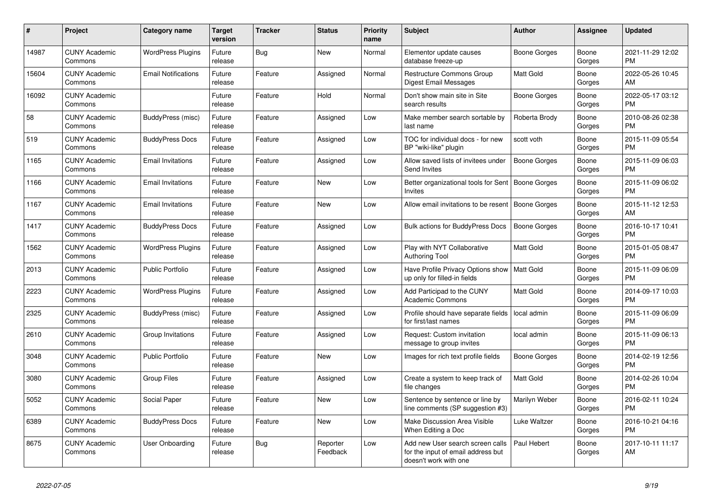| #     | Project                         | Category name              | <b>Target</b><br>version | Tracker    | <b>Status</b>        | <b>Priority</b><br>name | <b>Subject</b>                                                                                  | <b>Author</b>       | Assignee        | <b>Updated</b>                |
|-------|---------------------------------|----------------------------|--------------------------|------------|----------------------|-------------------------|-------------------------------------------------------------------------------------------------|---------------------|-----------------|-------------------------------|
| 14987 | <b>CUNY Academic</b><br>Commons | <b>WordPress Plugins</b>   | Future<br>release        | Bug        | New                  | Normal                  | Elementor update causes<br>database freeze-up                                                   | Boone Gorges        | Boone<br>Gorges | 2021-11-29 12:02<br><b>PM</b> |
| 15604 | <b>CUNY Academic</b><br>Commons | <b>Email Notifications</b> | Future<br>release        | Feature    | Assigned             | Normal                  | <b>Restructure Commons Group</b><br>Digest Email Messages                                       | <b>Matt Gold</b>    | Boone<br>Gorges | 2022-05-26 10:45<br>AM        |
| 16092 | <b>CUNY Academic</b><br>Commons |                            | Future<br>release        | Feature    | Hold                 | Normal                  | Don't show main site in Site<br>search results                                                  | Boone Gorges        | Boone<br>Gorges | 2022-05-17 03:12<br><b>PM</b> |
| 58    | <b>CUNY Academic</b><br>Commons | BuddyPress (misc)          | Future<br>release        | Feature    | Assigned             | Low                     | Make member search sortable by<br>last name                                                     | Roberta Brody       | Boone<br>Gorges | 2010-08-26 02:38<br><b>PM</b> |
| 519   | <b>CUNY Academic</b><br>Commons | <b>BuddyPress Docs</b>     | Future<br>release        | Feature    | Assigned             | Low                     | TOC for individual docs - for new<br>BP "wiki-like" plugin                                      | scott voth          | Boone<br>Gorges | 2015-11-09 05:54<br><b>PM</b> |
| 1165  | <b>CUNY Academic</b><br>Commons | <b>Email Invitations</b>   | Future<br>release        | Feature    | Assigned             | Low                     | Allow saved lists of invitees under<br>Send Invites                                             | <b>Boone Gorges</b> | Boone<br>Gorges | 2015-11-09 06:03<br><b>PM</b> |
| 1166  | <b>CUNY Academic</b><br>Commons | <b>Email Invitations</b>   | Future<br>release        | Feature    | <b>New</b>           | Low                     | Better organizational tools for Sent   Boone Gorges<br><b>Invites</b>                           |                     | Boone<br>Gorges | 2015-11-09 06:02<br><b>PM</b> |
| 1167  | <b>CUNY Academic</b><br>Commons | <b>Email Invitations</b>   | Future<br>release        | Feature    | <b>New</b>           | Low                     | Allow email invitations to be resent                                                            | Boone Gorges        | Boone<br>Gorges | 2015-11-12 12:53<br>AM        |
| 1417  | <b>CUNY Academic</b><br>Commons | <b>BuddyPress Docs</b>     | Future<br>release        | Feature    | Assigned             | Low                     | <b>Bulk actions for BuddyPress Docs</b>                                                         | <b>Boone Gorges</b> | Boone<br>Gorges | 2016-10-17 10:41<br><b>PM</b> |
| 1562  | <b>CUNY Academic</b><br>Commons | <b>WordPress Plugins</b>   | Future<br>release        | Feature    | Assigned             | Low                     | Play with NYT Collaborative<br><b>Authoring Tool</b>                                            | Matt Gold           | Boone<br>Gorges | 2015-01-05 08:47<br><b>PM</b> |
| 2013  | <b>CUNY Academic</b><br>Commons | <b>Public Portfolio</b>    | Future<br>release        | Feature    | Assigned             | Low                     | Have Profile Privacy Options show   Matt Gold<br>up only for filled-in fields                   |                     | Boone<br>Gorges | 2015-11-09 06:09<br><b>PM</b> |
| 2223  | <b>CUNY Academic</b><br>Commons | <b>WordPress Plugins</b>   | Future<br>release        | Feature    | Assigned             | Low                     | Add Participad to the CUNY<br>Academic Commons                                                  | Matt Gold           | Boone<br>Gorges | 2014-09-17 10:03<br><b>PM</b> |
| 2325  | <b>CUNY Academic</b><br>Commons | BuddyPress (misc)          | Future<br>release        | Feature    | Assigned             | Low                     | Profile should have separate fields   local admin<br>for first/last names                       |                     | Boone<br>Gorges | 2015-11-09 06:09<br><b>PM</b> |
| 2610  | <b>CUNY Academic</b><br>Commons | Group Invitations          | Future<br>release        | Feature    | Assigned             | Low                     | Request: Custom invitation<br>message to group invites                                          | local admin         | Boone<br>Gorges | 2015-11-09 06:13<br><b>PM</b> |
| 3048  | <b>CUNY Academic</b><br>Commons | <b>Public Portfolio</b>    | Future<br>release        | Feature    | <b>New</b>           | Low                     | Images for rich text profile fields                                                             | Boone Gorges        | Boone<br>Gorges | 2014-02-19 12:56<br><b>PM</b> |
| 3080  | <b>CUNY Academic</b><br>Commons | Group Files                | Future<br>release        | Feature    | Assigned             | Low                     | Create a system to keep track of<br>file changes                                                | <b>Matt Gold</b>    | Boone<br>Gorges | 2014-02-26 10:04<br><b>PM</b> |
| 5052  | <b>CUNY Academic</b><br>Commons | Social Paper               | Future<br>release        | Feature    | <b>New</b>           | Low                     | Sentence by sentence or line by<br>line comments (SP suggestion #3)                             | Marilyn Weber       | Boone<br>Gorges | 2016-02-11 10:24<br><b>PM</b> |
| 6389  | <b>CUNY Academic</b><br>Commons | <b>BuddyPress Docs</b>     | Future<br>release        | Feature    | <b>New</b>           | Low                     | Make Discussion Area Visible<br>When Editing a Doc                                              | Luke Waltzer        | Boone<br>Gorges | 2016-10-21 04:16<br><b>PM</b> |
| 8675  | <b>CUNY Academic</b><br>Commons | <b>User Onboarding</b>     | Future<br>release        | <b>Bug</b> | Reporter<br>Feedback | Low                     | Add new User search screen calls<br>for the input of email address but<br>doesn't work with one | Paul Hebert         | Boone<br>Gorges | 2017-10-11 11:17<br>AM        |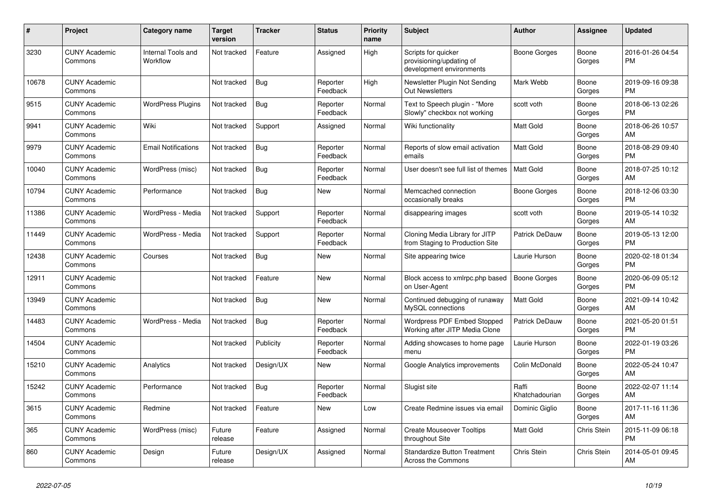| #     | Project                         | <b>Category name</b>           | <b>Target</b><br>version | <b>Tracker</b> | <b>Status</b>        | Priority<br>name | <b>Subject</b>                                                              | <b>Author</b>           | Assignee           | <b>Updated</b>                |
|-------|---------------------------------|--------------------------------|--------------------------|----------------|----------------------|------------------|-----------------------------------------------------------------------------|-------------------------|--------------------|-------------------------------|
| 3230  | <b>CUNY Academic</b><br>Commons | Internal Tools and<br>Workflow | Not tracked              | Feature        | Assigned             | High             | Scripts for quicker<br>provisioning/updating of<br>development environments | Boone Gorges            | Boone<br>Gorges    | 2016-01-26 04:54<br><b>PM</b> |
| 10678 | <b>CUNY Academic</b><br>Commons |                                | Not tracked              | Bug            | Reporter<br>Feedback | High             | Newsletter Plugin Not Sending<br><b>Out Newsletters</b>                     | Mark Webb               | Boone<br>Gorges    | 2019-09-16 09:38<br><b>PM</b> |
| 9515  | <b>CUNY Academic</b><br>Commons | <b>WordPress Plugins</b>       | Not tracked              | Bug            | Reporter<br>Feedback | Normal           | Text to Speech plugin - "More<br>Slowly" checkbox not working               | scott voth              | Boone<br>Gorges    | 2018-06-13 02:26<br><b>PM</b> |
| 9941  | <b>CUNY Academic</b><br>Commons | Wiki                           | Not tracked              | Support        | Assigned             | Normal           | Wiki functionality                                                          | Matt Gold               | Boone<br>Gorges    | 2018-06-26 10:57<br>AM        |
| 9979  | <b>CUNY Academic</b><br>Commons | <b>Email Notifications</b>     | Not tracked              | Bug            | Reporter<br>Feedback | Normal           | Reports of slow email activation<br>emails                                  | <b>Matt Gold</b>        | Boone<br>Gorges    | 2018-08-29 09:40<br><b>PM</b> |
| 10040 | <b>CUNY Academic</b><br>Commons | WordPress (misc)               | Not tracked              | Bug            | Reporter<br>Feedback | Normal           | User doesn't see full list of themes                                        | Matt Gold               | Boone<br>Gorges    | 2018-07-25 10:12<br>AM        |
| 10794 | <b>CUNY Academic</b><br>Commons | Performance                    | Not tracked              | <b>Bug</b>     | New                  | Normal           | Memcached connection<br>occasionally breaks                                 | Boone Gorges            | Boone<br>Gorges    | 2018-12-06 03:30<br><b>PM</b> |
| 11386 | <b>CUNY Academic</b><br>Commons | WordPress - Media              | Not tracked              | Support        | Reporter<br>Feedback | Normal           | disappearing images                                                         | scott voth              | Boone<br>Gorges    | 2019-05-14 10:32<br><b>AM</b> |
| 11449 | <b>CUNY Academic</b><br>Commons | WordPress - Media              | Not tracked              | Support        | Reporter<br>Feedback | Normal           | Cloning Media Library for JITP<br>from Staging to Production Site           | Patrick DeDauw          | Boone<br>Gorges    | 2019-05-13 12:00<br><b>PM</b> |
| 12438 | <b>CUNY Academic</b><br>Commons | Courses                        | Not tracked              | Bug            | New                  | Normal           | Site appearing twice                                                        | Laurie Hurson           | Boone<br>Gorges    | 2020-02-18 01:34<br><b>PM</b> |
| 12911 | <b>CUNY Academic</b><br>Commons |                                | Not tracked              | Feature        | New                  | Normal           | Block access to xmlrpc.php based<br>on User-Agent                           | <b>Boone Gorges</b>     | Boone<br>Gorges    | 2020-06-09 05:12<br><b>PM</b> |
| 13949 | <b>CUNY Academic</b><br>Commons |                                | Not tracked              | Bug            | <b>New</b>           | Normal           | Continued debugging of runaway<br>MySQL connections                         | <b>Matt Gold</b>        | Boone<br>Gorges    | 2021-09-14 10:42<br>AM        |
| 14483 | <b>CUNY Academic</b><br>Commons | WordPress - Media              | Not tracked              | Bug            | Reporter<br>Feedback | Normal           | <b>Wordpress PDF Embed Stopped</b><br>Working after JITP Media Clone        | Patrick DeDauw          | Boone<br>Gorges    | 2021-05-20 01:51<br><b>PM</b> |
| 14504 | <b>CUNY Academic</b><br>Commons |                                | Not tracked              | Publicity      | Reporter<br>Feedback | Normal           | Adding showcases to home page<br>menu                                       | Laurie Hurson           | Boone<br>Gorges    | 2022-01-19 03:26<br><b>PM</b> |
| 15210 | <b>CUNY Academic</b><br>Commons | Analytics                      | Not tracked              | Design/UX      | New                  | Normal           | Google Analytics improvements                                               | Colin McDonald          | Boone<br>Gorges    | 2022-05-24 10:47<br>AM        |
| 15242 | <b>CUNY Academic</b><br>Commons | Performance                    | Not tracked              | Bug            | Reporter<br>Feedback | Normal           | Slugist site                                                                | Raffi<br>Khatchadourian | Boone<br>Gorges    | 2022-02-07 11:14<br>AM        |
| 3615  | <b>CUNY Academic</b><br>Commons | Redmine                        | Not tracked              | Feature        | New                  | Low              | Create Redmine issues via email                                             | Dominic Giglio          | Boone<br>Gorges    | 2017-11-16 11:36<br>AM        |
| 365   | <b>CUNY Academic</b><br>Commons | WordPress (misc)               | Future<br>release        | Feature        | Assigned             | Normal           | <b>Create Mouseover Tooltips</b><br>throughout Site                         | Matt Gold               | Chris Stein        | 2015-11-09 06:18<br><b>PM</b> |
| 860   | <b>CUNY Academic</b><br>Commons | Design                         | Future<br>release        | Design/UX      | Assigned             | Normal           | Standardize Button Treatment<br>Across the Commons                          | Chris Stein             | <b>Chris Stein</b> | 2014-05-01 09:45<br>AM        |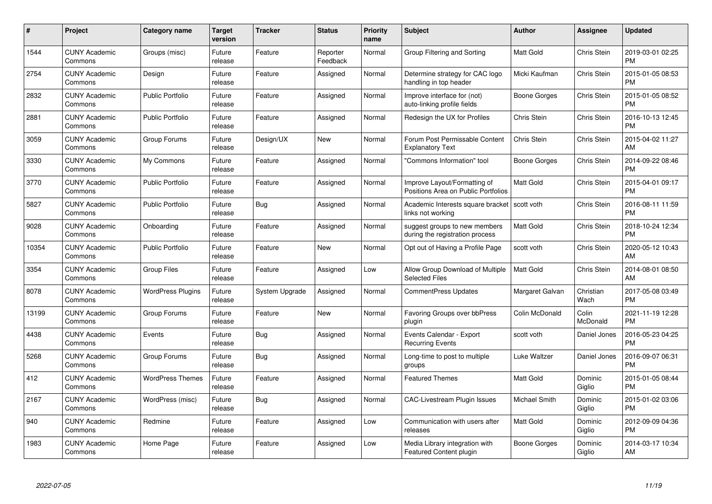| $\#$  | Project                         | <b>Category name</b>     | <b>Target</b><br>version | <b>Tracker</b> | <b>Status</b>        | <b>Priority</b><br>name | <b>Subject</b>                                                      | <b>Author</b>    | <b>Assignee</b>    | <b>Updated</b>                |
|-------|---------------------------------|--------------------------|--------------------------|----------------|----------------------|-------------------------|---------------------------------------------------------------------|------------------|--------------------|-------------------------------|
| 1544  | <b>CUNY Academic</b><br>Commons | Groups (misc)            | Future<br>release        | Feature        | Reporter<br>Feedback | Normal                  | Group Filtering and Sorting                                         | <b>Matt Gold</b> | <b>Chris Stein</b> | 2019-03-01 02:25<br><b>PM</b> |
| 2754  | <b>CUNY Academic</b><br>Commons | Design                   | Future<br>release        | Feature        | Assigned             | Normal                  | Determine strategy for CAC logo<br>handling in top header           | Micki Kaufman    | <b>Chris Stein</b> | 2015-01-05 08:53<br><b>PM</b> |
| 2832  | <b>CUNY Academic</b><br>Commons | <b>Public Portfolio</b>  | Future<br>release        | Feature        | Assigned             | Normal                  | Improve interface for (not)<br>auto-linking profile fields          | Boone Gorges     | Chris Stein        | 2015-01-05 08:52<br><b>PM</b> |
| 2881  | <b>CUNY Academic</b><br>Commons | <b>Public Portfolio</b>  | Future<br>release        | Feature        | Assigned             | Normal                  | Redesign the UX for Profiles                                        | Chris Stein      | Chris Stein        | 2016-10-13 12:45<br><b>PM</b> |
| 3059  | <b>CUNY Academic</b><br>Commons | Group Forums             | Future<br>release        | Design/UX      | <b>New</b>           | Normal                  | Forum Post Permissable Content<br><b>Explanatory Text</b>           | Chris Stein      | Chris Stein        | 2015-04-02 11:27<br>AM        |
| 3330  | <b>CUNY Academic</b><br>Commons | My Commons               | Future<br>release        | Feature        | Assigned             | Normal                  | "Commons Information" tool                                          | Boone Gorges     | Chris Stein        | 2014-09-22 08:46<br><b>PM</b> |
| 3770  | <b>CUNY Academic</b><br>Commons | <b>Public Portfolio</b>  | Future<br>release        | Feature        | Assigned             | Normal                  | Improve Layout/Formatting of<br>Positions Area on Public Portfolios | <b>Matt Gold</b> | Chris Stein        | 2015-04-01 09:17<br><b>PM</b> |
| 5827  | <b>CUNY Academic</b><br>Commons | <b>Public Portfolio</b>  | Future<br>release        | <b>Bug</b>     | Assigned             | Normal                  | Academic Interests square bracket<br>links not working              | scott voth       | Chris Stein        | 2016-08-11 11:59<br><b>PM</b> |
| 9028  | <b>CUNY Academic</b><br>Commons | Onboarding               | Future<br>release        | Feature        | Assigned             | Normal                  | suggest groups to new members<br>during the registration process    | <b>Matt Gold</b> | <b>Chris Stein</b> | 2018-10-24 12:34<br><b>PM</b> |
| 10354 | <b>CUNY Academic</b><br>Commons | <b>Public Portfolio</b>  | Future<br>release        | Feature        | New                  | Normal                  | Opt out of Having a Profile Page                                    | scott voth       | Chris Stein        | 2020-05-12 10:43<br>AM        |
| 3354  | <b>CUNY Academic</b><br>Commons | <b>Group Files</b>       | Future<br>release        | Feature        | Assigned             | Low                     | Allow Group Download of Multiple<br><b>Selected Files</b>           | Matt Gold        | Chris Stein        | 2014-08-01 08:50<br>AM        |
| 8078  | <b>CUNY Academic</b><br>Commons | <b>WordPress Plugins</b> | Future<br>release        | System Upgrade | Assigned             | Normal                  | <b>CommentPress Updates</b>                                         | Margaret Galvan  | Christian<br>Wach  | 2017-05-08 03:49<br><b>PM</b> |
| 13199 | <b>CUNY Academic</b><br>Commons | Group Forums             | Future<br>release        | Feature        | New                  | Normal                  | Favoring Groups over bbPress<br>plugin                              | Colin McDonald   | Colin<br>McDonald  | 2021-11-19 12:28<br>PM        |
| 4438  | <b>CUNY Academic</b><br>Commons | Events                   | Future<br>release        | Bug            | Assigned             | Normal                  | Events Calendar - Export<br><b>Recurring Events</b>                 | scott voth       | Daniel Jones       | 2016-05-23 04:25<br><b>PM</b> |
| 5268  | <b>CUNY Academic</b><br>Commons | Group Forums             | Future<br>release        | <b>Bug</b>     | Assigned             | Normal                  | Long-time to post to multiple<br>groups                             | Luke Waltzer     | Daniel Jones       | 2016-09-07 06:31<br><b>PM</b> |
| 412   | <b>CUNY Academic</b><br>Commons | <b>WordPress Themes</b>  | Future<br>release        | Feature        | Assigned             | Normal                  | <b>Featured Themes</b>                                              | Matt Gold        | Dominic<br>Giglio  | 2015-01-05 08:44<br><b>PM</b> |
| 2167  | <b>CUNY Academic</b><br>Commons | WordPress (misc)         | Future<br>release        | Bug            | Assigned             | Normal                  | CAC-Livestream Plugin Issues                                        | Michael Smith    | Dominic<br>Giglio  | 2015-01-02 03:06<br><b>PM</b> |
| 940   | <b>CUNY Academic</b><br>Commons | Redmine                  | Future<br>release        | Feature        | Assigned             | Low                     | Communication with users after<br>releases                          | <b>Matt Gold</b> | Dominic<br>Giglio  | 2012-09-09 04:36<br><b>PM</b> |
| 1983  | CUNY Academic<br>Commons        | Home Page                | Future<br>release        | Feature        | Assigned             | Low                     | Media Library integration with<br><b>Featured Content plugin</b>    | Boone Gorges     | Dominic<br>Giglio  | 2014-03-17 10:34<br>AM        |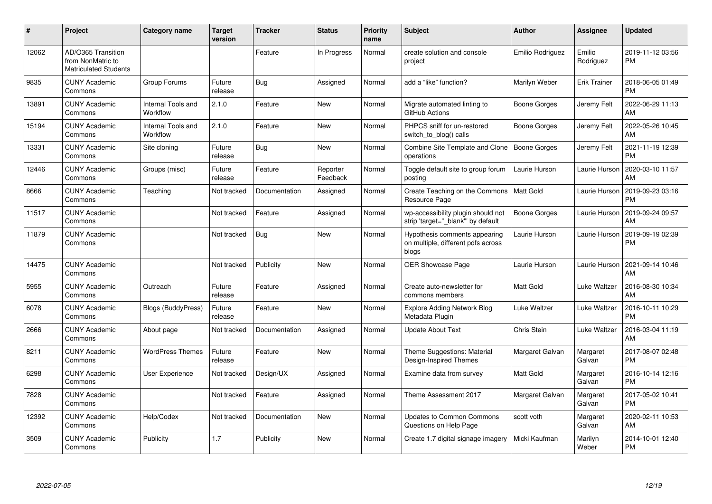| $\#$  | Project                                                                 | Category name                  | <b>Target</b><br>version | <b>Tracker</b> | <b>Status</b>        | <b>Priority</b><br>name | <b>Subject</b>                                                               | <b>Author</b>       | <b>Assignee</b>     | <b>Updated</b>                |
|-------|-------------------------------------------------------------------------|--------------------------------|--------------------------|----------------|----------------------|-------------------------|------------------------------------------------------------------------------|---------------------|---------------------|-------------------------------|
| 12062 | AD/O365 Transition<br>from NonMatric to<br><b>Matriculated Students</b> |                                |                          | Feature        | In Progress          | Normal                  | create solution and console<br>project                                       | Emilio Rodriguez    | Emilio<br>Rodriguez | 2019-11-12 03:56<br><b>PM</b> |
| 9835  | <b>CUNY Academic</b><br>Commons                                         | Group Forums                   | Future<br>release        | Bug            | Assigned             | Normal                  | add a "like" function?                                                       | Marilyn Weber       | <b>Erik Trainer</b> | 2018-06-05 01:49<br><b>PM</b> |
| 13891 | <b>CUNY Academic</b><br>Commons                                         | Internal Tools and<br>Workflow | 2.1.0                    | Feature        | New                  | Normal                  | Migrate automated linting to<br>GitHub Actions                               | Boone Gorges        | Jeremy Felt         | 2022-06-29 11:13<br>AM        |
| 15194 | <b>CUNY Academic</b><br>Commons                                         | Internal Tools and<br>Workflow | 2.1.0                    | Feature        | New                  | Normal                  | PHPCS sniff for un-restored<br>switch to blog() calls                        | Boone Gorges        | Jeremy Felt         | 2022-05-26 10:45<br>AM        |
| 13331 | <b>CUNY Academic</b><br>Commons                                         | Site cloning                   | Future<br>release        | Bug            | New                  | Normal                  | Combine Site Template and Clone<br>operations                                | <b>Boone Gorges</b> | Jeremy Felt         | 2021-11-19 12:39<br><b>PM</b> |
| 12446 | <b>CUNY Academic</b><br>Commons                                         | Groups (misc)                  | Future<br>release        | Feature        | Reporter<br>Feedback | Normal                  | Toggle default site to group forum<br>posting                                | Laurie Hurson       | Laurie Hurson       | 2020-03-10 11:57<br>AM        |
| 8666  | <b>CUNY Academic</b><br>Commons                                         | Teaching                       | Not tracked              | Documentation  | Assigned             | Normal                  | Create Teaching on the Commons<br>Resource Page                              | Matt Gold           | Laurie Hurson       | 2019-09-23 03:16<br><b>PM</b> |
| 11517 | <b>CUNY Academic</b><br>Commons                                         |                                | Not tracked              | Feature        | Assigned             | Normal                  | wp-accessibility plugin should not<br>strip 'target=" blank" by default      | Boone Gorges        | Laurie Hurson       | 2019-09-24 09:57<br>AM        |
| 11879 | <b>CUNY Academic</b><br>Commons                                         |                                | Not tracked              | <b>Bug</b>     | <b>New</b>           | Normal                  | Hypothesis comments appearing<br>on multiple, different pdfs across<br>blogs | Laurie Hurson       | Laurie Hurson       | 2019-09-19 02:39<br><b>PM</b> |
| 14475 | <b>CUNY Academic</b><br>Commons                                         |                                | Not tracked              | Publicity      | <b>New</b>           | Normal                  | <b>OER Showcase Page</b>                                                     | Laurie Hurson       | Laurie Hurson       | 2021-09-14 10:46<br>AM        |
| 5955  | <b>CUNY Academic</b><br>Commons                                         | Outreach                       | Future<br>release        | Feature        | Assigned             | Normal                  | Create auto-newsletter for<br>commons members                                | <b>Matt Gold</b>    | Luke Waltzer        | 2016-08-30 10:34<br>AM        |
| 6078  | <b>CUNY Academic</b><br>Commons                                         | Blogs (BuddyPress)             | Future<br>release        | Feature        | <b>New</b>           | Normal                  | <b>Explore Adding Network Blog</b><br>Metadata Plugin                        | Luke Waltzer        | Luke Waltzer        | 2016-10-11 10:29<br><b>PM</b> |
| 2666  | <b>CUNY Academic</b><br>Commons                                         | About page                     | Not tracked              | Documentation  | Assigned             | Normal                  | <b>Update About Text</b>                                                     | Chris Stein         | Luke Waltzer        | 2016-03-04 11:19<br>AM        |
| 8211  | <b>CUNY Academic</b><br>Commons                                         | <b>WordPress Themes</b>        | Future<br>release        | Feature        | <b>New</b>           | Normal                  | Theme Suggestions: Material<br>Design-Inspired Themes                        | Margaret Galvan     | Margaret<br>Galvan  | 2017-08-07 02:48<br><b>PM</b> |
| 6298  | <b>CUNY Academic</b><br>Commons                                         | <b>User Experience</b>         | Not tracked              | Design/UX      | Assigned             | Normal                  | Examine data from survey                                                     | <b>Matt Gold</b>    | Margaret<br>Galvan  | 2016-10-14 12:16<br><b>PM</b> |
| 7828  | <b>CUNY Academic</b><br>Commons                                         |                                | Not tracked              | Feature        | Assigned             | Normal                  | Theme Assessment 2017                                                        | Margaret Galvan     | Margaret<br>Galvan  | 2017-05-02 10:41<br><b>PM</b> |
| 12392 | <b>CUNY Academic</b><br>Commons                                         | Help/Codex                     | Not tracked              | Documentation  | <b>New</b>           | Normal                  | <b>Updates to Common Commons</b><br>Questions on Help Page                   | scott voth          | Margaret<br>Galvan  | 2020-02-11 10:53<br>AM        |
| 3509  | <b>CUNY Academic</b><br>Commons                                         | Publicity                      | 1.7                      | Publicity      | <b>New</b>           | Normal                  | Create 1.7 digital signage imagery                                           | Micki Kaufman       | Marilyn<br>Weber    | 2014-10-01 12:40<br><b>PM</b> |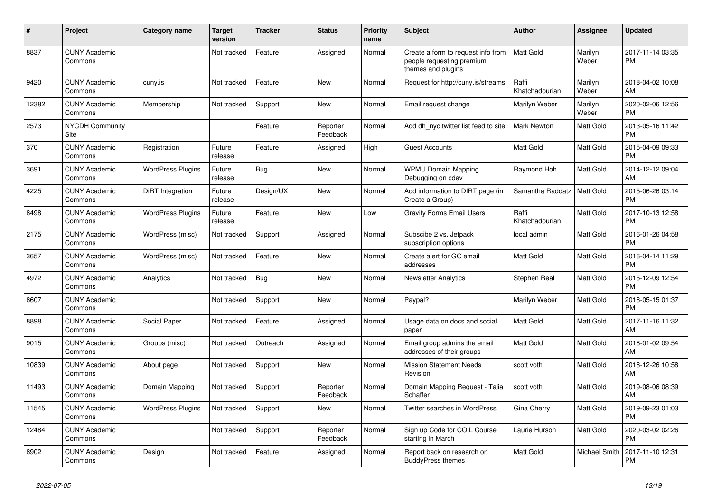| #     | Project                         | <b>Category name</b>     | <b>Target</b><br>version | <b>Tracker</b> | <b>Status</b>        | <b>Priority</b><br>name | <b>Subject</b>                                                                        | <b>Author</b>           | <b>Assignee</b>  | <b>Updated</b>                |
|-------|---------------------------------|--------------------------|--------------------------|----------------|----------------------|-------------------------|---------------------------------------------------------------------------------------|-------------------------|------------------|-------------------------------|
| 8837  | <b>CUNY Academic</b><br>Commons |                          | Not tracked              | Feature        | Assigned             | Normal                  | Create a form to request info from<br>people requesting premium<br>themes and plugins | <b>Matt Gold</b>        | Marilyn<br>Weber | 2017-11-14 03:35<br><b>PM</b> |
| 9420  | <b>CUNY Academic</b><br>Commons | cuny.is                  | Not tracked              | Feature        | <b>New</b>           | Normal                  | Request for http://cuny.is/streams                                                    | Raffi<br>Khatchadourian | Marilyn<br>Weber | 2018-04-02 10:08<br>AM        |
| 12382 | <b>CUNY Academic</b><br>Commons | Membership               | Not tracked              | Support        | <b>New</b>           | Normal                  | Email request change                                                                  | Marilyn Weber           | Marilyn<br>Weber | 2020-02-06 12:56<br><b>PM</b> |
| 2573  | <b>NYCDH Community</b><br>Site  |                          |                          | Feature        | Reporter<br>Feedback | Normal                  | Add dh nyc twitter list feed to site                                                  | Mark Newton             | Matt Gold        | 2013-05-16 11:42<br><b>PM</b> |
| 370   | <b>CUNY Academic</b><br>Commons | Registration             | Future<br>release        | Feature        | Assigned             | High                    | <b>Guest Accounts</b>                                                                 | <b>Matt Gold</b>        | Matt Gold        | 2015-04-09 09:33<br><b>PM</b> |
| 3691  | <b>CUNY Academic</b><br>Commons | <b>WordPress Plugins</b> | Future<br>release        | Bug            | <b>New</b>           | Normal                  | <b>WPMU Domain Mapping</b><br>Debugging on cdev                                       | Raymond Hoh             | Matt Gold        | 2014-12-12 09:04<br>AM        |
| 4225  | <b>CUNY Academic</b><br>Commons | DiRT Integration         | Future<br>release        | Design/UX      | New                  | Normal                  | Add information to DIRT page (in<br>Create a Group)                                   | Samantha Raddatz        | Matt Gold        | 2015-06-26 03:14<br><b>PM</b> |
| 8498  | <b>CUNY Academic</b><br>Commons | <b>WordPress Plugins</b> | Future<br>release        | Feature        | <b>New</b>           | Low                     | <b>Gravity Forms Email Users</b>                                                      | Raffi<br>Khatchadourian | Matt Gold        | 2017-10-13 12:58<br><b>PM</b> |
| 2175  | <b>CUNY Academic</b><br>Commons | WordPress (misc)         | Not tracked              | Support        | Assigned             | Normal                  | Subscibe 2 vs. Jetpack<br>subscription options                                        | local admin             | Matt Gold        | 2016-01-26 04:58<br><b>PM</b> |
| 3657  | <b>CUNY Academic</b><br>Commons | WordPress (misc)         | Not tracked              | Feature        | New                  | Normal                  | Create alert for GC email<br>addresses                                                | <b>Matt Gold</b>        | Matt Gold        | 2016-04-14 11:29<br><b>PM</b> |
| 4972  | <b>CUNY Academic</b><br>Commons | Analytics                | Not tracked              | Bug            | New                  | Normal                  | <b>Newsletter Analytics</b>                                                           | Stephen Real            | Matt Gold        | 2015-12-09 12:54<br><b>PM</b> |
| 8607  | <b>CUNY Academic</b><br>Commons |                          | Not tracked              | Support        | New                  | Normal                  | Paypal?                                                                               | Marilyn Weber           | Matt Gold        | 2018-05-15 01:37<br><b>PM</b> |
| 8898  | <b>CUNY Academic</b><br>Commons | Social Paper             | Not tracked              | Feature        | Assigned             | Normal                  | Usage data on docs and social<br>paper                                                | <b>Matt Gold</b>        | Matt Gold        | 2017-11-16 11:32<br>AM        |
| 9015  | <b>CUNY Academic</b><br>Commons | Groups (misc)            | Not tracked              | Outreach       | Assigned             | Normal                  | Email group admins the email<br>addresses of their groups                             | <b>Matt Gold</b>        | Matt Gold        | 2018-01-02 09:54<br>AM        |
| 10839 | <b>CUNY Academic</b><br>Commons | About page               | Not tracked              | Support        | New                  | Normal                  | <b>Mission Statement Needs</b><br>Revision                                            | scott voth              | Matt Gold        | 2018-12-26 10:58<br>AM        |
| 11493 | <b>CUNY Academic</b><br>Commons | Domain Mapping           | Not tracked              | Support        | Reporter<br>Feedback | Normal                  | Domain Mapping Request - Talia<br>Schaffer                                            | scott voth              | Matt Gold        | 2019-08-06 08:39<br>AM        |
| 11545 | <b>CUNY Academic</b><br>Commons | <b>WordPress Plugins</b> | Not tracked              | Support        | New                  | Normal                  | Twitter searches in WordPress                                                         | Gina Cherry             | Matt Gold        | 2019-09-23 01:03<br><b>PM</b> |
| 12484 | <b>CUNY Academic</b><br>Commons |                          | Not tracked              | Support        | Reporter<br>Feedback | Normal                  | Sign up Code for COIL Course<br>starting in March                                     | Laurie Hurson           | Matt Gold        | 2020-03-02 02:26<br><b>PM</b> |
| 8902  | <b>CUNY Academic</b><br>Commons | Design                   | Not tracked              | Feature        | Assigned             | Normal                  | Report back on research on<br><b>BuddyPress themes</b>                                | Matt Gold               | Michael Smith    | 2017-11-10 12:31<br><b>PM</b> |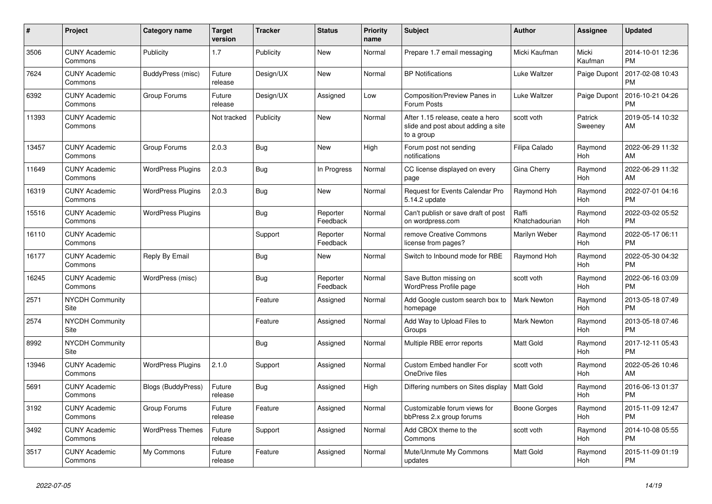| #     | Project                         | <b>Category name</b>     | <b>Target</b><br>version | <b>Tracker</b> | <b>Status</b>        | Priority<br>name | <b>Subject</b>                                                                       | <b>Author</b>           | Assignee           | <b>Updated</b>                |
|-------|---------------------------------|--------------------------|--------------------------|----------------|----------------------|------------------|--------------------------------------------------------------------------------------|-------------------------|--------------------|-------------------------------|
| 3506  | <b>CUNY Academic</b><br>Commons | Publicity                | 1.7                      | Publicity      | <b>New</b>           | Normal           | Prepare 1.7 email messaging                                                          | Micki Kaufman           | Micki<br>Kaufman   | 2014-10-01 12:36<br><b>PM</b> |
| 7624  | <b>CUNY Academic</b><br>Commons | BuddyPress (misc)        | Future<br>release        | Design/UX      | <b>New</b>           | Normal           | <b>BP</b> Notifications                                                              | Luke Waltzer            | Paige Dupont       | 2017-02-08 10:43<br><b>PM</b> |
| 6392  | <b>CUNY Academic</b><br>Commons | Group Forums             | Future<br>release        | Design/UX      | Assigned             | Low              | Composition/Preview Panes in<br>Forum Posts                                          | Luke Waltzer            | Paige Dupont       | 2016-10-21 04:26<br><b>PM</b> |
| 11393 | <b>CUNY Academic</b><br>Commons |                          | Not tracked              | Publicity      | New                  | Normal           | After 1.15 release, ceate a hero<br>slide and post about adding a site<br>to a group | scott voth              | Patrick<br>Sweeney | 2019-05-14 10:32<br>AM        |
| 13457 | <b>CUNY Academic</b><br>Commons | Group Forums             | 2.0.3                    | Bug            | New                  | High             | Forum post not sending<br>notifications                                              | Filipa Calado           | Raymond<br>Hoh     | 2022-06-29 11:32<br>AM        |
| 11649 | <b>CUNY Academic</b><br>Commons | <b>WordPress Plugins</b> | 2.0.3                    | Bug            | In Progress          | Normal           | CC license displayed on every<br>page                                                | Gina Cherry             | Raymond<br>Hoh     | 2022-06-29 11:32<br>AM        |
| 16319 | <b>CUNY Academic</b><br>Commons | <b>WordPress Plugins</b> | 2.0.3                    | <b>Bug</b>     | New                  | Normal           | Request for Events Calendar Pro<br>5.14.2 update                                     | Raymond Hoh             | Raymond<br>Hoh     | 2022-07-01 04:16<br><b>PM</b> |
| 15516 | <b>CUNY Academic</b><br>Commons | <b>WordPress Plugins</b> |                          | Bug            | Reporter<br>Feedback | Normal           | Can't publish or save draft of post<br>on wordpress.com                              | Raffi<br>Khatchadourian | Raymond<br>Hoh     | 2022-03-02 05:52<br><b>PM</b> |
| 16110 | <b>CUNY Academic</b><br>Commons |                          |                          | Support        | Reporter<br>Feedback | Normal           | remove Creative Commons<br>license from pages?                                       | Marilyn Weber           | Raymond<br>Hoh     | 2022-05-17 06:11<br><b>PM</b> |
| 16177 | <b>CUNY Academic</b><br>Commons | Reply By Email           |                          | Bug            | <b>New</b>           | Normal           | Switch to Inbound mode for RBE                                                       | Raymond Hoh             | Raymond<br>Hoh     | 2022-05-30 04:32<br><b>PM</b> |
| 16245 | <b>CUNY Academic</b><br>Commons | WordPress (misc)         |                          | Bug            | Reporter<br>Feedback | Normal           | Save Button missing on<br>WordPress Profile page                                     | scott voth              | Raymond<br>Hoh     | 2022-06-16 03:09<br><b>PM</b> |
| 2571  | <b>NYCDH Community</b><br>Site  |                          |                          | Feature        | Assigned             | Normal           | Add Google custom search box to<br>homepage                                          | <b>Mark Newton</b>      | Raymond<br>Hoh     | 2013-05-18 07:49<br><b>PM</b> |
| 2574  | <b>NYCDH Community</b><br>Site  |                          |                          | Feature        | Assigned             | Normal           | Add Way to Upload Files to<br>Groups                                                 | <b>Mark Newton</b>      | Raymond<br>Hoh     | 2013-05-18 07:46<br><b>PM</b> |
| 8992  | <b>NYCDH Community</b><br>Site  |                          |                          | Bug            | Assigned             | Normal           | Multiple RBE error reports                                                           | <b>Matt Gold</b>        | Raymond<br>Hoh     | 2017-12-11 05:43<br><b>PM</b> |
| 13946 | <b>CUNY Academic</b><br>Commons | <b>WordPress Plugins</b> | 2.1.0                    | Support        | Assigned             | Normal           | <b>Custom Embed handler For</b><br>OneDrive files                                    | scott voth              | Raymond<br>Hoh     | 2022-05-26 10:46<br>AM        |
| 5691  | <b>CUNY Academic</b><br>Commons | Blogs (BuddyPress)       | Future<br>release        | <b>Bug</b>     | Assigned             | High             | Differing numbers on Sites display                                                   | <b>Matt Gold</b>        | Raymond<br>Hoh     | 2016-06-13 01:37<br><b>PM</b> |
| 3192  | <b>CUNY Academic</b><br>Commons | Group Forums             | Future<br>release        | Feature        | Assigned             | Normal           | Customizable forum views for<br>bbPress 2.x group forums                             | Boone Gorges            | Raymond<br>Hoh     | 2015-11-09 12:47<br><b>PM</b> |
| 3492  | <b>CUNY Academic</b><br>Commons | <b>WordPress Themes</b>  | Future<br>release        | Support        | Assigned             | Normal           | Add CBOX theme to the<br>Commons                                                     | scott voth              | Raymond<br>Hoh     | 2014-10-08 05:55<br><b>PM</b> |
| 3517  | <b>CUNY Academic</b><br>Commons | My Commons               | Future<br>release        | Feature        | Assigned             | Normal           | Mute/Unmute My Commons<br>updates                                                    | <b>Matt Gold</b>        | Raymond<br>Hoh     | 2015-11-09 01:19<br><b>PM</b> |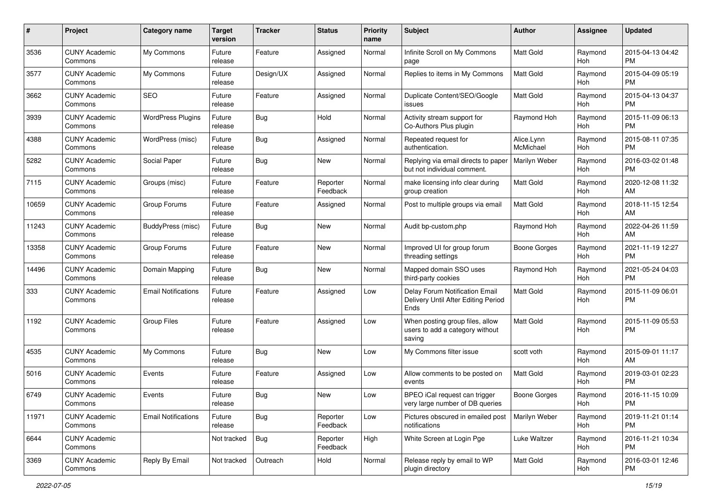| #     | Project                         | <b>Category name</b>       | <b>Target</b><br>version | <b>Tracker</b> | <b>Status</b>        | <b>Priority</b><br>name | Subject                                                                       | Author                  | <b>Assignee</b> | <b>Updated</b>                |
|-------|---------------------------------|----------------------------|--------------------------|----------------|----------------------|-------------------------|-------------------------------------------------------------------------------|-------------------------|-----------------|-------------------------------|
| 3536  | <b>CUNY Academic</b><br>Commons | My Commons                 | Future<br>release        | Feature        | Assigned             | Normal                  | Infinite Scroll on My Commons<br>page                                         | <b>Matt Gold</b>        | Raymond<br>Hoh  | 2015-04-13 04:42<br>PM.       |
| 3577  | <b>CUNY Academic</b><br>Commons | My Commons                 | Future<br>release        | Design/UX      | Assigned             | Normal                  | Replies to items in My Commons                                                | <b>Matt Gold</b>        | Raymond<br>Hoh  | 2015-04-09 05:19<br><b>PM</b> |
| 3662  | <b>CUNY Academic</b><br>Commons | <b>SEO</b>                 | Future<br>release        | Feature        | Assigned             | Normal                  | Duplicate Content/SEO/Google<br>issues                                        | Matt Gold               | Raymond<br>Hoh  | 2015-04-13 04:37<br><b>PM</b> |
| 3939  | <b>CUNY Academic</b><br>Commons | <b>WordPress Plugins</b>   | Future<br>release        | Bug            | Hold                 | Normal                  | Activity stream support for<br>Co-Authors Plus plugin                         | Raymond Hoh             | Raymond<br>Hoh  | 2015-11-09 06:13<br><b>PM</b> |
| 4388  | <b>CUNY Academic</b><br>Commons | WordPress (misc)           | Future<br>release        | Bug            | Assigned             | Normal                  | Repeated request for<br>authentication.                                       | Alice.Lynn<br>McMichael | Raymond<br>Hoh  | 2015-08-11 07:35<br><b>PM</b> |
| 5282  | <b>CUNY Academic</b><br>Commons | Social Paper               | Future<br>release        | Bug            | New                  | Normal                  | Replying via email directs to paper<br>but not individual comment.            | Marilyn Weber           | Raymond<br>Hoh  | 2016-03-02 01:48<br><b>PM</b> |
| 7115  | <b>CUNY Academic</b><br>Commons | Groups (misc)              | Future<br>release        | Feature        | Reporter<br>Feedback | Normal                  | make licensing info clear during<br>group creation                            | Matt Gold               | Raymond<br>Hoh  | 2020-12-08 11:32<br>AM        |
| 10659 | <b>CUNY Academic</b><br>Commons | Group Forums               | Future<br>release        | Feature        | Assigned             | Normal                  | Post to multiple groups via email                                             | <b>Matt Gold</b>        | Raymond<br>Hoh  | 2018-11-15 12:54<br>AM        |
| 11243 | <b>CUNY Academic</b><br>Commons | BuddyPress (misc)          | Future<br>release        | Bug            | New                  | Normal                  | Audit bp-custom.php                                                           | Raymond Hoh             | Raymond<br>Hoh  | 2022-04-26 11:59<br>AM        |
| 13358 | <b>CUNY Academic</b><br>Commons | Group Forums               | Future<br>release        | Feature        | New                  | Normal                  | Improved UI for group forum<br>threading settings                             | Boone Gorges            | Raymond<br>Hoh  | 2021-11-19 12:27<br><b>PM</b> |
| 14496 | <b>CUNY Academic</b><br>Commons | Domain Mapping             | Future<br>release        | Bug            | New                  | Normal                  | Mapped domain SSO uses<br>third-party cookies                                 | Raymond Hoh             | Raymond<br>Hoh  | 2021-05-24 04:03<br><b>PM</b> |
| 333   | <b>CUNY Academic</b><br>Commons | <b>Email Notifications</b> | Future<br>release        | Feature        | Assigned             | Low                     | Delay Forum Notification Email<br>Delivery Until After Editing Period<br>Ends | Matt Gold               | Raymond<br>Hoh  | 2015-11-09 06:01<br><b>PM</b> |
| 1192  | <b>CUNY Academic</b><br>Commons | <b>Group Files</b>         | Future<br>release        | Feature        | Assigned             | Low                     | When posting group files, allow<br>users to add a category without<br>saving  | <b>Matt Gold</b>        | Raymond<br>Hoh  | 2015-11-09 05:53<br><b>PM</b> |
| 4535  | <b>CUNY Academic</b><br>Commons | My Commons                 | Future<br>release        | Bug            | <b>New</b>           | Low                     | My Commons filter issue                                                       | scott voth              | Raymond<br>Hoh  | 2015-09-01 11:17<br>AM        |
| 5016  | <b>CUNY Academic</b><br>Commons | Events                     | Future<br>release        | Feature        | Assigned             | Low                     | Allow comments to be posted on<br>events                                      | Matt Gold               | Raymond<br>Hoh  | 2019-03-01 02:23<br><b>PM</b> |
| 6749  | <b>CUNY Academic</b><br>Commons | Events                     | Future<br>release        | Bug            | New                  | Low                     | BPEO iCal request can trigger<br>very large number of DB queries              | Boone Gorges            | Raymond<br>Hoh  | 2016-11-15 10:09<br><b>PM</b> |
| 11971 | <b>CUNY Academic</b><br>Commons | <b>Email Notifications</b> | Future<br>release        | Bug            | Reporter<br>Feedback | Low                     | Pictures obscured in emailed post<br>notifications                            | Marilyn Weber           | Raymond<br>Hoh  | 2019-11-21 01:14<br><b>PM</b> |
| 6644  | <b>CUNY Academic</b><br>Commons |                            | Not tracked              | Bug            | Reporter<br>Feedback | High                    | White Screen at Login Pge                                                     | Luke Waltzer            | Raymond<br>Hoh  | 2016-11-21 10:34<br><b>PM</b> |
| 3369  | <b>CUNY Academic</b><br>Commons | Reply By Email             | Not tracked              | Outreach       | Hold                 | Normal                  | Release reply by email to WP<br>plugin directory                              | Matt Gold               | Raymond<br>Hoh  | 2016-03-01 12:46<br><b>PM</b> |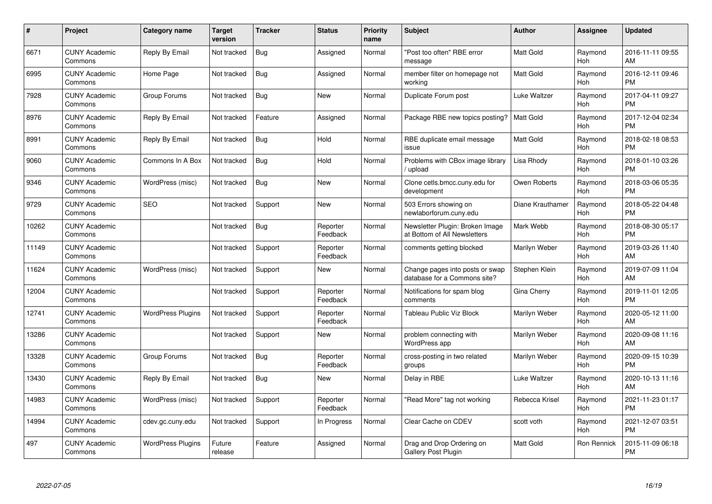| $\#$  | Project                         | <b>Category name</b>     | Target<br>version | <b>Tracker</b> | <b>Status</b>        | Priority<br>name | <b>Subject</b>                                                  | Author           | <b>Assignee</b> | <b>Updated</b>                |
|-------|---------------------------------|--------------------------|-------------------|----------------|----------------------|------------------|-----------------------------------------------------------------|------------------|-----------------|-------------------------------|
| 6671  | <b>CUNY Academic</b><br>Commons | Reply By Email           | Not tracked       | Bug            | Assigned             | Normal           | "Post too often" RBE error<br>message                           | <b>Matt Gold</b> | Raymond<br>Hoh  | 2016-11-11 09:55<br>AM        |
| 6995  | <b>CUNY Academic</b><br>Commons | Home Page                | Not tracked       | Bug            | Assigned             | Normal           | member filter on homepage not<br>workina                        | <b>Matt Gold</b> | Raymond<br>Hoh  | 2016-12-11 09:46<br><b>PM</b> |
| 7928  | <b>CUNY Academic</b><br>Commons | Group Forums             | Not tracked       | Bug            | New                  | Normal           | Duplicate Forum post                                            | Luke Waltzer     | Raymond<br>Hoh  | 2017-04-11 09:27<br><b>PM</b> |
| 8976  | <b>CUNY Academic</b><br>Commons | Reply By Email           | Not tracked       | Feature        | Assigned             | Normal           | Package RBE new topics posting?                                 | <b>Matt Gold</b> | Raymond<br>Hoh  | 2017-12-04 02:34<br><b>PM</b> |
| 8991  | <b>CUNY Academic</b><br>Commons | Reply By Email           | Not tracked       | Bug            | Hold                 | Normal           | RBE duplicate email message<br>issue                            | <b>Matt Gold</b> | Raymond<br>Hoh  | 2018-02-18 08:53<br><b>PM</b> |
| 9060  | <b>CUNY Academic</b><br>Commons | Commons In A Box         | Not tracked       | Bug            | Hold                 | Normal           | Problems with CBox image library<br>upload                      | Lisa Rhody       | Raymond<br>Hoh  | 2018-01-10 03:26<br><b>PM</b> |
| 9346  | <b>CUNY Academic</b><br>Commons | WordPress (misc)         | Not tracked       | Bug            | <b>New</b>           | Normal           | Clone cetls.bmcc.cuny.edu for<br>development                    | Owen Roberts     | Raymond<br>Hoh  | 2018-03-06 05:35<br><b>PM</b> |
| 9729  | <b>CUNY Academic</b><br>Commons | <b>SEO</b>               | Not tracked       | Support        | <b>New</b>           | Normal           | 503 Errors showing on<br>newlaborforum.cuny.edu                 | Diane Krauthamer | Raymond<br>Hoh  | 2018-05-22 04:48<br><b>PM</b> |
| 10262 | <b>CUNY Academic</b><br>Commons |                          | Not tracked       | Bug            | Reporter<br>Feedback | Normal           | Newsletter Plugin: Broken Image<br>at Bottom of All Newsletters | Mark Webb        | Raymond<br>Hoh  | 2018-08-30 05:17<br><b>PM</b> |
| 11149 | <b>CUNY Academic</b><br>Commons |                          | Not tracked       | Support        | Reporter<br>Feedback | Normal           | comments getting blocked                                        | Marilyn Weber    | Raymond<br>Hoh  | 2019-03-26 11:40<br>AM        |
| 11624 | <b>CUNY Academic</b><br>Commons | WordPress (misc)         | Not tracked       | Support        | New                  | Normal           | Change pages into posts or swap<br>database for a Commons site? | Stephen Klein    | Raymond<br>Hoh  | 2019-07-09 11:04<br>AM        |
| 12004 | <b>CUNY Academic</b><br>Commons |                          | Not tracked       | Support        | Reporter<br>Feedback | Normal           | Notifications for spam blog<br>comments                         | Gina Cherry      | Raymond<br>Hoh  | 2019-11-01 12:05<br><b>PM</b> |
| 12741 | <b>CUNY Academic</b><br>Commons | <b>WordPress Plugins</b> | Not tracked       | Support        | Reporter<br>Feedback | Normal           | Tableau Public Viz Block                                        | Marilyn Weber    | Raymond<br>Hoh  | 2020-05-12 11:00<br>AM        |
| 13286 | <b>CUNY Academic</b><br>Commons |                          | Not tracked       | Support        | New                  | Normal           | problem connecting with<br>WordPress app                        | Marilyn Weber    | Raymond<br>Hoh  | 2020-09-08 11:16<br>AM        |
| 13328 | <b>CUNY Academic</b><br>Commons | Group Forums             | Not tracked       | <b>Bug</b>     | Reporter<br>Feedback | Normal           | cross-posting in two related<br>groups                          | Marilyn Weber    | Raymond<br>Hoh  | 2020-09-15 10:39<br><b>PM</b> |
| 13430 | <b>CUNY Academic</b><br>Commons | Reply By Email           | Not tracked       | Bug            | New                  | Normal           | Delay in RBE                                                    | Luke Waltzer     | Raymond<br>Hoh  | 2020-10-13 11:16<br>AM        |
| 14983 | <b>CUNY Academic</b><br>Commons | WordPress (misc)         | Not tracked       | Support        | Reporter<br>Feedback | Normal           | "Read More" tag not working                                     | Rebecca Krisel   | Raymond<br>Hoh  | 2021-11-23 01:17<br><b>PM</b> |
| 14994 | <b>CUNY Academic</b><br>Commons | cdev.gc.cuny.edu         | Not tracked       | Support        | In Progress          | Normal           | Clear Cache on CDEV                                             | scott voth       | Raymond<br>Hoh  | 2021-12-07 03:51<br><b>PM</b> |
| 497   | CUNY Academic<br>Commons        | <b>WordPress Plugins</b> | Future<br>release | Feature        | Assigned             | Normal           | Drag and Drop Ordering on<br><b>Gallery Post Plugin</b>         | <b>Matt Gold</b> | Ron Rennick     | 2015-11-09 06:18<br>PM        |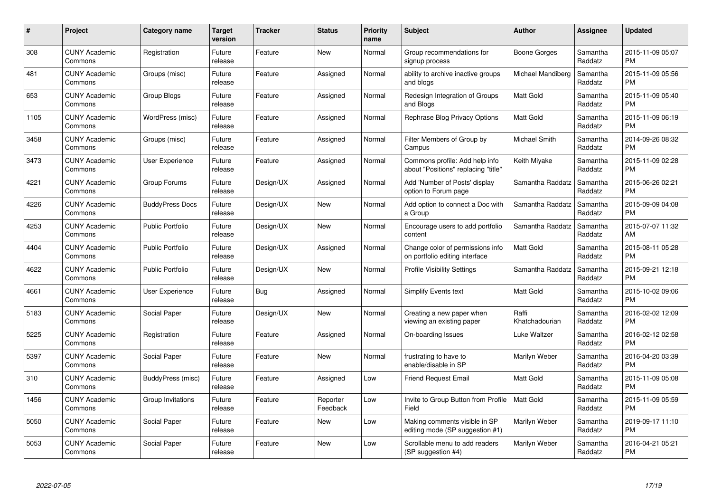| $\#$ | Project                         | <b>Category name</b>    | <b>Target</b><br>version | <b>Tracker</b> | <b>Status</b>        | <b>Priority</b><br>name | <b>Subject</b>                                                        | <b>Author</b>           | <b>Assignee</b>     | <b>Updated</b>                |
|------|---------------------------------|-------------------------|--------------------------|----------------|----------------------|-------------------------|-----------------------------------------------------------------------|-------------------------|---------------------|-------------------------------|
| 308  | <b>CUNY Academic</b><br>Commons | Registration            | Future<br>release        | Feature        | <b>New</b>           | Normal                  | Group recommendations for<br>signup process                           | Boone Gorges            | Samantha<br>Raddatz | 2015-11-09 05:07<br><b>PM</b> |
| 481  | <b>CUNY Academic</b><br>Commons | Groups (misc)           | Future<br>release        | Feature        | Assigned             | Normal                  | ability to archive inactive groups<br>and blogs                       | Michael Mandiberg       | Samantha<br>Raddatz | 2015-11-09 05:56<br><b>PM</b> |
| 653  | <b>CUNY Academic</b><br>Commons | Group Blogs             | Future<br>release        | Feature        | Assigned             | Normal                  | Redesign Integration of Groups<br>and Blogs                           | Matt Gold               | Samantha<br>Raddatz | 2015-11-09 05:40<br><b>PM</b> |
| 1105 | <b>CUNY Academic</b><br>Commons | WordPress (misc)        | Future<br>release        | Feature        | Assigned             | Normal                  | Rephrase Blog Privacy Options                                         | Matt Gold               | Samantha<br>Raddatz | 2015-11-09 06:19<br><b>PM</b> |
| 3458 | <b>CUNY Academic</b><br>Commons | Groups (misc)           | Future<br>release        | Feature        | Assigned             | Normal                  | Filter Members of Group by<br>Campus                                  | Michael Smith           | Samantha<br>Raddatz | 2014-09-26 08:32<br><b>PM</b> |
| 3473 | <b>CUNY Academic</b><br>Commons | <b>User Experience</b>  | Future<br>release        | Feature        | Assigned             | Normal                  | Commons profile: Add help info<br>about "Positions" replacing "title" | Keith Miyake            | Samantha<br>Raddatz | 2015-11-09 02:28<br><b>PM</b> |
| 4221 | <b>CUNY Academic</b><br>Commons | Group Forums            | Future<br>release        | Design/UX      | Assigned             | Normal                  | Add 'Number of Posts' display<br>option to Forum page                 | Samantha Raddatz        | Samantha<br>Raddatz | 2015-06-26 02:21<br><b>PM</b> |
| 4226 | <b>CUNY Academic</b><br>Commons | <b>BuddyPress Docs</b>  | Future<br>release        | Design/UX      | <b>New</b>           | Normal                  | Add option to connect a Doc with<br>a Group                           | Samantha Raddatz        | Samantha<br>Raddatz | 2015-09-09 04:08<br><b>PM</b> |
| 4253 | <b>CUNY Academic</b><br>Commons | <b>Public Portfolio</b> | Future<br>release        | Design/UX      | <b>New</b>           | Normal                  | Encourage users to add portfolio<br>content                           | Samantha Raddatz        | Samantha<br>Raddatz | 2015-07-07 11:32<br>AM        |
| 4404 | <b>CUNY Academic</b><br>Commons | <b>Public Portfolio</b> | Future<br>release        | Design/UX      | Assigned             | Normal                  | Change color of permissions info<br>on portfolio editing interface    | <b>Matt Gold</b>        | Samantha<br>Raddatz | 2015-08-11 05:28<br><b>PM</b> |
| 4622 | <b>CUNY Academic</b><br>Commons | <b>Public Portfolio</b> | Future<br>release        | Design/UX      | <b>New</b>           | Normal                  | <b>Profile Visibility Settings</b>                                    | Samantha Raddatz        | Samantha<br>Raddatz | 2015-09-21 12:18<br><b>PM</b> |
| 4661 | <b>CUNY Academic</b><br>Commons | <b>User Experience</b>  | Future<br>release        | <b>Bug</b>     | Assigned             | Normal                  | <b>Simplify Events text</b>                                           | <b>Matt Gold</b>        | Samantha<br>Raddatz | 2015-10-02 09:06<br><b>PM</b> |
| 5183 | <b>CUNY Academic</b><br>Commons | Social Paper            | Future<br>release        | Design/UX      | New                  | Normal                  | Creating a new paper when<br>viewing an existing paper                | Raffi<br>Khatchadourian | Samantha<br>Raddatz | 2016-02-02 12:09<br><b>PM</b> |
| 5225 | <b>CUNY Academic</b><br>Commons | Registration            | Future<br>release        | Feature        | Assigned             | Normal                  | On-boarding Issues                                                    | Luke Waltzer            | Samantha<br>Raddatz | 2016-02-12 02:58<br><b>PM</b> |
| 5397 | <b>CUNY Academic</b><br>Commons | Social Paper            | Future<br>release        | Feature        | New                  | Normal                  | frustrating to have to<br>enable/disable in SP                        | Marilyn Weber           | Samantha<br>Raddatz | 2016-04-20 03:39<br><b>PM</b> |
| 310  | <b>CUNY Academic</b><br>Commons | BuddyPress (misc)       | Future<br>release        | Feature        | Assigned             | Low                     | <b>Friend Request Email</b>                                           | Matt Gold               | Samantha<br>Raddatz | 2015-11-09 05:08<br><b>PM</b> |
| 1456 | <b>CUNY Academic</b><br>Commons | Group Invitations       | Future<br>release        | Feature        | Reporter<br>Feedback | Low                     | Invite to Group Button from Profile<br>Field                          | Matt Gold               | Samantha<br>Raddatz | 2015-11-09 05:59<br><b>PM</b> |
| 5050 | <b>CUNY Academic</b><br>Commons | Social Paper            | Future<br>release        | Feature        | New                  | Low                     | Making comments visible in SP<br>editing mode (SP suggestion #1)      | Marilyn Weber           | Samantha<br>Raddatz | 2019-09-17 11:10<br><b>PM</b> |
| 5053 | <b>CUNY Academic</b><br>Commons | Social Paper            | Future<br>release        | Feature        | <b>New</b>           | Low                     | Scrollable menu to add readers<br>(SP suggestion #4)                  | Marilyn Weber           | Samantha<br>Raddatz | 2016-04-21 05:21<br><b>PM</b> |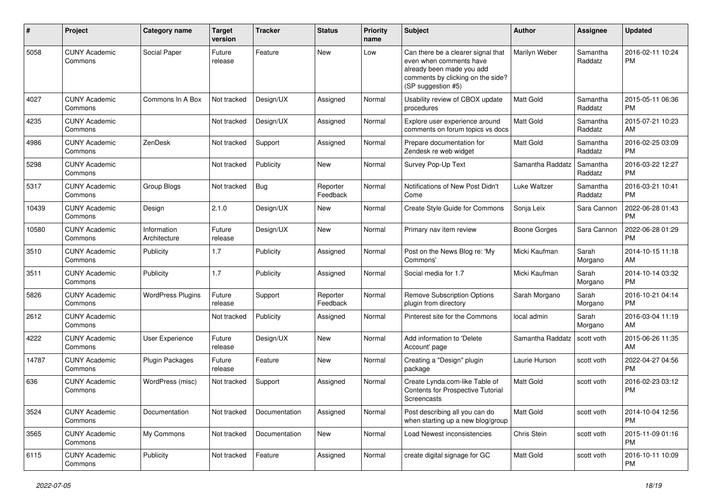| #     | Project                         | <b>Category name</b>        | <b>Target</b><br>version | <b>Tracker</b> | <b>Status</b>        | <b>Priority</b><br>name | <b>Subject</b>                                                                                                                                        | Author           | <b>Assignee</b>     | <b>Updated</b>                |
|-------|---------------------------------|-----------------------------|--------------------------|----------------|----------------------|-------------------------|-------------------------------------------------------------------------------------------------------------------------------------------------------|------------------|---------------------|-------------------------------|
| 5058  | <b>CUNY Academic</b><br>Commons | Social Paper                | Future<br>release        | Feature        | <b>New</b>           | Low                     | Can there be a clearer signal that<br>even when comments have<br>already been made you add<br>comments by clicking on the side?<br>(SP suggestion #5) | Marilyn Weber    | Samantha<br>Raddatz | 2016-02-11 10:24<br><b>PM</b> |
| 4027  | <b>CUNY Academic</b><br>Commons | Commons In A Box            | Not tracked              | Design/UX      | Assigned             | Normal                  | Usability review of CBOX update<br>procedures                                                                                                         | <b>Matt Gold</b> | Samantha<br>Raddatz | 2015-05-11 06:36<br><b>PM</b> |
| 4235  | <b>CUNY Academic</b><br>Commons |                             | Not tracked              | Design/UX      | Assigned             | Normal                  | Explore user experience around<br>comments on forum topics vs docs                                                                                    | <b>Matt Gold</b> | Samantha<br>Raddatz | 2015-07-21 10:23<br>AM        |
| 4986  | <b>CUNY Academic</b><br>Commons | ZenDesk                     | Not tracked              | Support        | Assigned             | Normal                  | Prepare documentation for<br>Zendesk re web widget                                                                                                    | Matt Gold        | Samantha<br>Raddatz | 2016-02-25 03:09<br><b>PM</b> |
| 5298  | <b>CUNY Academic</b><br>Commons |                             | Not tracked              | Publicity      | <b>New</b>           | Normal                  | Survey Pop-Up Text                                                                                                                                    | Samantha Raddatz | Samantha<br>Raddatz | 2016-03-22 12:27<br><b>PM</b> |
| 5317  | <b>CUNY Academic</b><br>Commons | Group Blogs                 | Not tracked              | Bug            | Reporter<br>Feedback | Normal                  | Notifications of New Post Didn't<br>Come                                                                                                              | Luke Waltzer     | Samantha<br>Raddatz | 2016-03-21 10:41<br><b>PM</b> |
| 10439 | <b>CUNY Academic</b><br>Commons | Design                      | 2.1.0                    | Design/UX      | New                  | Normal                  | Create Style Guide for Commons                                                                                                                        | Sonja Leix       | Sara Cannon         | 2022-06-28 01:43<br><b>PM</b> |
| 10580 | <b>CUNY Academic</b><br>Commons | Information<br>Architecture | Future<br>release        | Design/UX      | <b>New</b>           | Normal                  | Primary nav item review                                                                                                                               | Boone Gorges     | Sara Cannon         | 2022-06-28 01:29<br><b>PM</b> |
| 3510  | <b>CUNY Academic</b><br>Commons | Publicity                   | 1.7                      | Publicity      | Assigned             | Normal                  | Post on the News Blog re: 'My<br>Commons'                                                                                                             | Micki Kaufman    | Sarah<br>Morgano    | 2014-10-15 11:18<br>AM        |
| 3511  | <b>CUNY Academic</b><br>Commons | Publicity                   | 1.7                      | Publicity      | Assigned             | Normal                  | Social media for 1.7                                                                                                                                  | Micki Kaufman    | Sarah<br>Morgano    | 2014-10-14 03:32<br><b>PM</b> |
| 5826  | <b>CUNY Academic</b><br>Commons | <b>WordPress Plugins</b>    | Future<br>release        | Support        | Reporter<br>Feedback | Normal                  | <b>Remove Subscription Options</b><br>plugin from directory                                                                                           | Sarah Morgano    | Sarah<br>Morgano    | 2016-10-21 04:14<br><b>PM</b> |
| 2612  | <b>CUNY Academic</b><br>Commons |                             | Not tracked              | Publicity      | Assigned             | Normal                  | Pinterest site for the Commons                                                                                                                        | local admin      | Sarah<br>Morgano    | 2016-03-04 11:19<br>AM        |
| 4222  | <b>CUNY Academic</b><br>Commons | User Experience             | Future<br>release        | Design/UX      | <b>New</b>           | Normal                  | Add information to 'Delete<br>Account' page                                                                                                           | Samantha Raddatz | scott voth          | 2015-06-26 11:35<br>AM        |
| 14787 | <b>CUNY Academic</b><br>Commons | Plugin Packages             | Future<br>release        | Feature        | <b>New</b>           | Normal                  | Creating a "Design" plugin<br>package                                                                                                                 | Laurie Hurson    | scott voth          | 2022-04-27 04:56<br><b>PM</b> |
| 636   | <b>CUNY Academic</b><br>Commons | WordPress (misc)            | Not tracked              | Support        | Assigned             | Normal                  | Create Lynda.com-like Table of<br>Contents for Prospective Tutorial<br>Screencasts                                                                    | <b>Matt Gold</b> | scott voth          | 2016-02-23 03:12<br><b>PM</b> |
| 3524  | <b>CUNY Academic</b><br>Commons | Documentation               | Not tracked              | Documentation  | Assigned             | Normal                  | Post describing all you can do<br>when starting up a new blog/group                                                                                   | Matt Gold        | scott voth          | 2014-10-04 12:56<br><b>PM</b> |
| 3565  | <b>CUNY Academic</b><br>Commons | My Commons                  | Not tracked              | Documentation  | New                  | Normal                  | Load Newest inconsistencies                                                                                                                           | Chris Stein      | scott voth          | 2015-11-09 01:16<br><b>PM</b> |
| 6115  | <b>CUNY Academic</b><br>Commons | Publicity                   | Not tracked              | Feature        | Assigned             | Normal                  | create digital signage for GC                                                                                                                         | Matt Gold        | scott voth          | 2016-10-11 10:09<br>PM        |